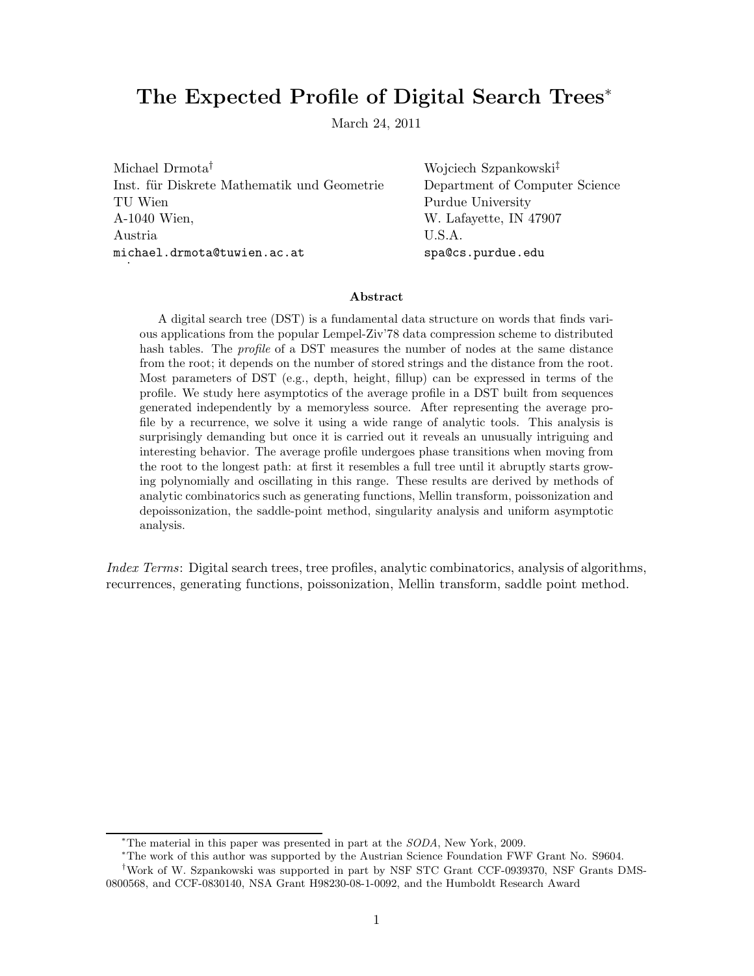# The Expected Profile of Digital Search Trees<sup>∗</sup>

March 24, 2011

Michael Drmota<sup>†</sup> Wojciech Szpankowski<sup>‡</sup> Inst. für Diskrete Mathematik und Geometrie Department of Computer Science TU Wien Purdue University A-1040 Wien, W. Lafayette, IN 47907 Austria U.S.A. michael.drmota@tuwien.ac.at spa@cs.purdue.edu .

### Abstract

A digital search tree (DST) is a fundamental data structure on words that finds various applications from the popular Lempel-Ziv'78 data compression scheme to distributed hash tables. The *profile* of a DST measures the number of nodes at the same distance from the root; it depends on the number of stored strings and the distance from the root. Most parameters of DST (e.g., depth, height, fillup) can be expressed in terms of the profile. We study here asymptotics of the average profile in a DST built from sequences generated independently by a memoryless source. After representing the average profile by a recurrence, we solve it using a wide range of analytic tools. This analysis is surprisingly demanding but once it is carried out it reveals an unusually intriguing and interesting behavior. The average profile undergoes phase transitions when moving from the root to the longest path: at first it resembles a full tree until it abruptly starts growing polynomially and oscillating in this range. These results are derived by methods of analytic combinatorics such as generating functions, Mellin transform, poissonization and depoissonization, the saddle-point method, singularity analysis and uniform asymptotic analysis.

Index Terms: Digital search trees, tree profiles, analytic combinatorics, analysis of algorithms, recurrences, generating functions, poissonization, Mellin transform, saddle point method.

<sup>∗</sup>The material in this paper was presented in part at the SODA, New York, 2009.

<sup>∗</sup>The work of this author was supported by the Austrian Science Foundation FWF Grant No. S9604.

<sup>†</sup>Work of W. Szpankowski was supported in part by NSF STC Grant CCF-0939370, NSF Grants DMS-0800568, and CCF-0830140, NSA Grant H98230-08-1-0092, and the Humboldt Research Award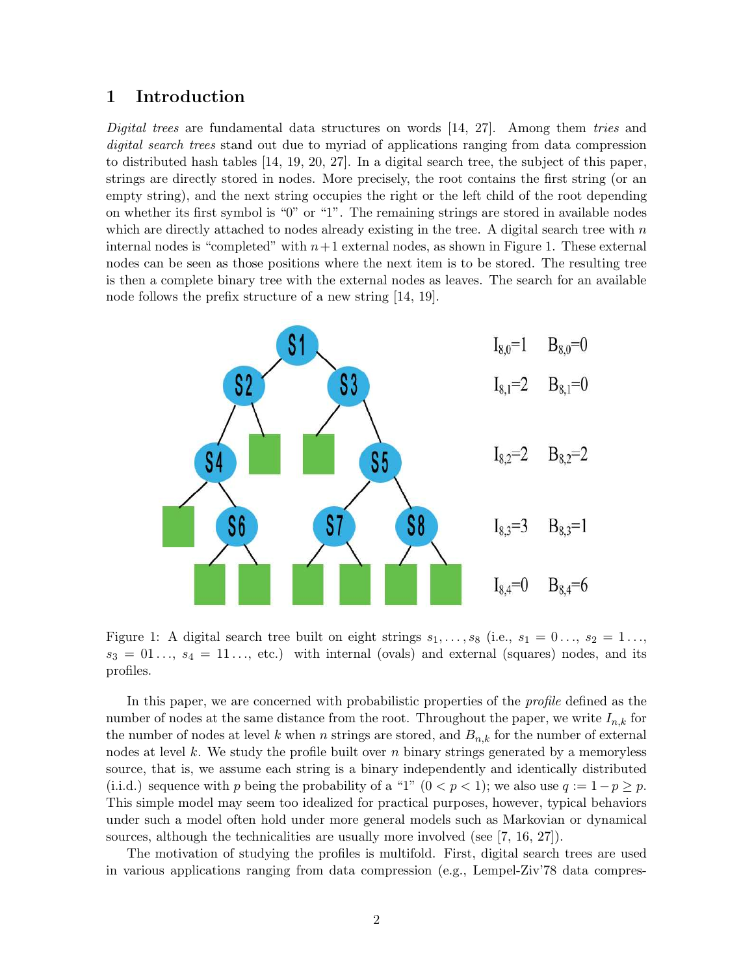### 1 Introduction

Digital trees are fundamental data structures on words [14, 27]. Among them tries and digital search trees stand out due to myriad of applications ranging from data compression to distributed hash tables [14, 19, 20, 27]. In a digital search tree, the subject of this paper, strings are directly stored in nodes. More precisely, the root contains the first string (or an empty string), and the next string occupies the right or the left child of the root depending on whether its first symbol is "0" or "1". The remaining strings are stored in available nodes which are directly attached to nodes already existing in the tree. A digital search tree with  $n$ internal nodes is "completed" with  $n+1$  external nodes, as shown in Figure 1. These external nodes can be seen as those positions where the next item is to be stored. The resulting tree is then a complete binary tree with the external nodes as leaves. The search for an available node follows the prefix structure of a new string [14, 19].



Figure 1: A digital search tree built on eight strings  $s_1, \ldots, s_8$  (i.e.,  $s_1 = 0 \ldots, s_2 = 1 \ldots$  $s_3 = 01 \ldots, s_4 = 11 \ldots,$  etc.) with internal (ovals) and external (squares) nodes, and its profiles.

In this paper, we are concerned with probabilistic properties of the *profile* defined as the number of nodes at the same distance from the root. Throughout the paper, we write  $I_{n,k}$  for the number of nodes at level k when n strings are stored, and  $B_{n,k}$  for the number of external nodes at level k. We study the profile built over  $n$  binary strings generated by a memoryless source, that is, we assume each string is a binary independently and identically distributed (i.i.d.) sequence with p being the probability of a "1"  $(0 < p < 1)$ ; we also use  $q := 1 - p \ge p$ . This simple model may seem too idealized for practical purposes, however, typical behaviors under such a model often hold under more general models such as Markovian or dynamical sources, although the technicalities are usually more involved (see [7, 16, 27]).

The motivation of studying the profiles is multifold. First, digital search trees are used in various applications ranging from data compression (e.g., Lempel-Ziv'78 data compres-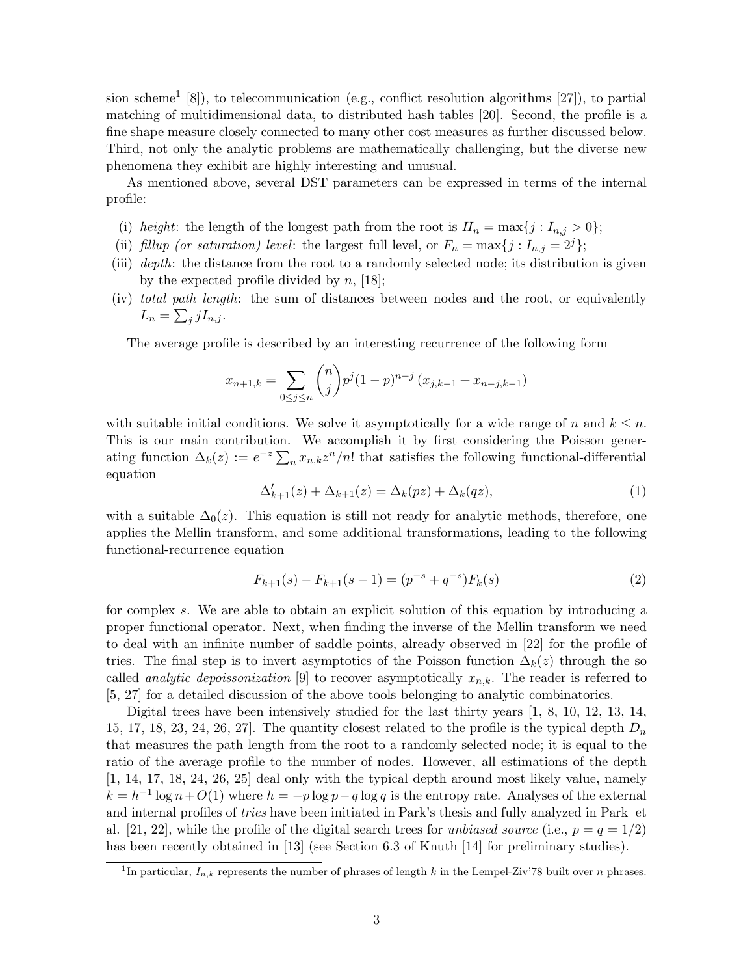sion scheme<sup>1</sup> [8]), to telecommunication (e.g., conflict resolution algorithms [27]), to partial matching of multidimensional data, to distributed hash tables [20]. Second, the profile is a fine shape measure closely connected to many other cost measures as further discussed below. Third, not only the analytic problems are mathematically challenging, but the diverse new phenomena they exhibit are highly interesting and unusual.

As mentioned above, several DST parameters can be expressed in terms of the internal profile:

- (i) height: the length of the longest path from the root is  $H_n = \max\{j : I_{n,j} > 0\};$
- (ii) fillup (or saturation) level: the largest full level, or  $F_n = \max\{j : I_{n,j} = 2^j\};$
- (iii) depth: the distance from the root to a randomly selected node; its distribution is given by the expected profile divided by  $n$ , [18];
- (iv) total path length: the sum of distances between nodes and the root, or equivalently  $L_n = \sum_j jI_{n,j}$ .

The average profile is described by an interesting recurrence of the following form

$$
x_{n+1,k} = \sum_{0 \le j \le n} \binom{n}{j} p^j (1-p)^{n-j} (x_{j,k-1} + x_{n-j,k-1})
$$

with suitable initial conditions. We solve it asymptotically for a wide range of n and  $k \leq n$ . This is our main contribution. We accomplish it by first considering the Poisson generating function  $\Delta_k(z) := e^{-z} \sum_n x_{n,k} z^n/n!$  that satisfies the following functional-differential equation

$$
\Delta'_{k+1}(z) + \Delta_{k+1}(z) = \Delta_k(pz) + \Delta_k(qz),\tag{1}
$$

with a suitable  $\Delta_0(z)$ . This equation is still not ready for analytic methods, therefore, one applies the Mellin transform, and some additional transformations, leading to the following functional-recurrence equation

$$
F_{k+1}(s) - F_{k+1}(s-1) = (p^{-s} + q^{-s})F_k(s)
$$
\n(2)

for complex s. We are able to obtain an explicit solution of this equation by introducing a proper functional operator. Next, when finding the inverse of the Mellin transform we need to deal with an infinite number of saddle points, already observed in [22] for the profile of tries. The final step is to invert asymptotics of the Poisson function  $\Delta_k(z)$  through the so called *analytic depoissonization* [9] to recover asymptotically  $x_{n,k}$ . The reader is referred to [5, 27] for a detailed discussion of the above tools belonging to analytic combinatorics.

Digital trees have been intensively studied for the last thirty years [1, 8, 10, 12, 13, 14, 15, 17, 18, 23, 24, 26, 27. The quantity closest related to the profile is the typical depth  $D_n$ that measures the path length from the root to a randomly selected node; it is equal to the ratio of the average profile to the number of nodes. However, all estimations of the depth [1, 14, 17, 18, 24, 26, 25] deal only with the typical depth around most likely value, namely  $k = h^{-1} \log n + O(1)$  where  $h = -p \log p - q \log q$  is the entropy rate. Analyses of the external and internal profiles of tries have been initiated in Park's thesis and fully analyzed in Park et al. [21, 22], while the profile of the digital search trees for unbiased source (i.e.,  $p = q = 1/2$ ) has been recently obtained in [13] (see Section 6.3 of Knuth [14] for preliminary studies).

<sup>&</sup>lt;sup>1</sup>In particular,  $I_{n,k}$  represents the number of phrases of length k in the Lempel-Ziv'78 built over n phrases.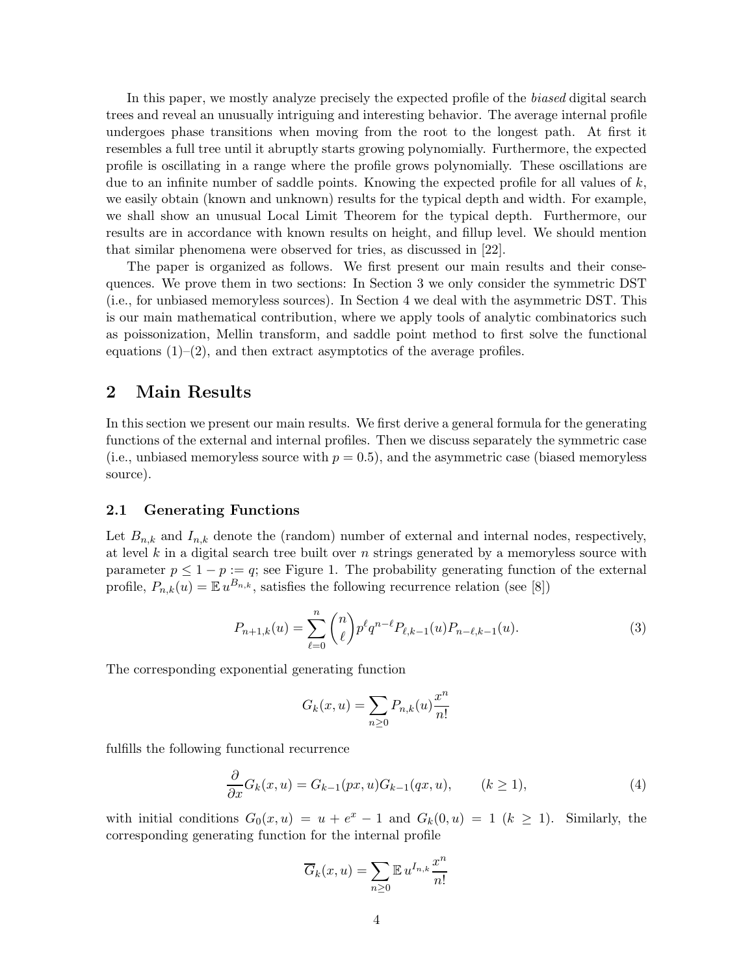In this paper, we mostly analyze precisely the expected profile of the biased digital search trees and reveal an unusually intriguing and interesting behavior. The average internal profile undergoes phase transitions when moving from the root to the longest path. At first it resembles a full tree until it abruptly starts growing polynomially. Furthermore, the expected profile is oscillating in a range where the profile grows polynomially. These oscillations are due to an infinite number of saddle points. Knowing the expected profile for all values of  $k$ , we easily obtain (known and unknown) results for the typical depth and width. For example, we shall show an unusual Local Limit Theorem for the typical depth. Furthermore, our results are in accordance with known results on height, and fillup level. We should mention that similar phenomena were observed for tries, as discussed in [22].

The paper is organized as follows. We first present our main results and their consequences. We prove them in two sections: In Section 3 we only consider the symmetric DST (i.e., for unbiased memoryless sources). In Section 4 we deal with the asymmetric DST. This is our main mathematical contribution, where we apply tools of analytic combinatorics such as poissonization, Mellin transform, and saddle point method to first solve the functional equations  $(1)$ – $(2)$ , and then extract asymptotics of the average profiles.

### 2 Main Results

In this section we present our main results. We first derive a general formula for the generating functions of the external and internal profiles. Then we discuss separately the symmetric case (i.e., unbiased memoryless source with  $p = 0.5$ ), and the asymmetric case (biased memoryless source).

### 2.1 Generating Functions

Let  $B_{n,k}$  and  $I_{n,k}$  denote the (random) number of external and internal nodes, respectively, at level k in a digital search tree built over  $n$  strings generated by a memoryless source with parameter  $p \leq 1 - p := q$ ; see Figure 1. The probability generating function of the external profile,  $P_{n,k}(u) = \mathbb{E} u^{B_{n,k}}$ , satisfies the following recurrence relation (see [8])

$$
P_{n+1,k}(u) = \sum_{\ell=0}^{n} \binom{n}{\ell} p^{\ell} q^{n-\ell} P_{\ell,k-1}(u) P_{n-\ell,k-1}(u). \tag{3}
$$

The corresponding exponential generating function

$$
G_k(x, u) = \sum_{n \ge 0} P_{n,k}(u) \frac{x^n}{n!}
$$

fulfills the following functional recurrence

$$
\frac{\partial}{\partial x}G_k(x, u) = G_{k-1}(px, u)G_{k-1}(qx, u), \qquad (k \ge 1), \tag{4}
$$

with initial conditions  $G_0(x, u) = u + e^x - 1$  and  $G_k(0, u) = 1$   $(k \ge 1)$ . Similarly, the corresponding generating function for the internal profile

$$
\overline{G}_k(x, u) = \sum_{n \ge 0} \mathbb{E} \, u^{I_{n,k}} \frac{x^n}{n!}
$$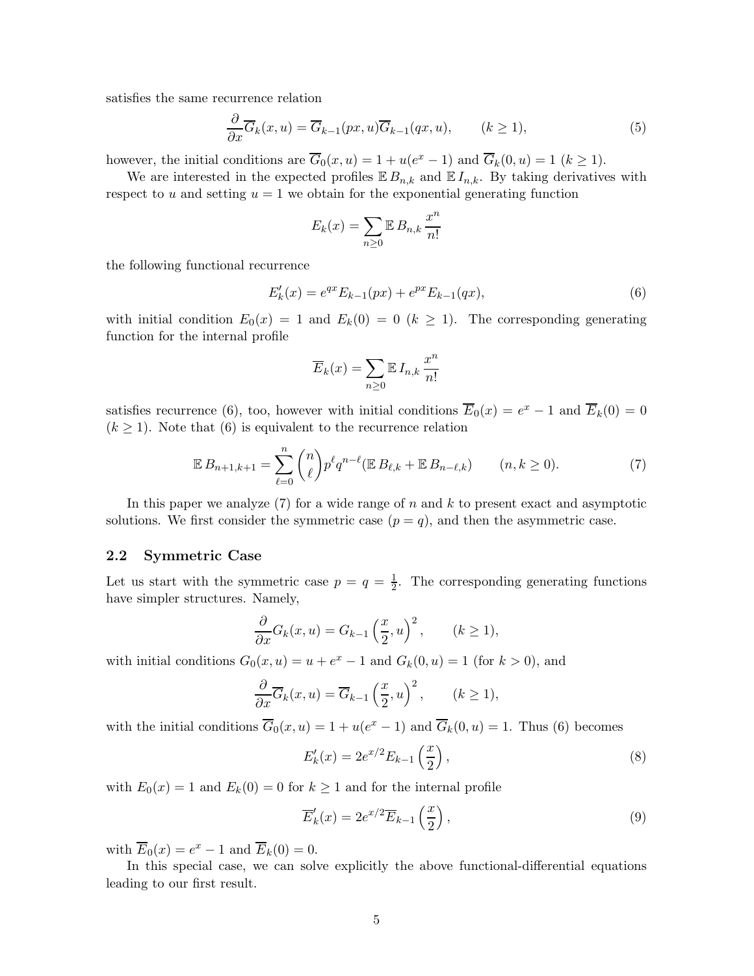satisfies the same recurrence relation

$$
\frac{\partial}{\partial x}\overline{G}_k(x,u) = \overline{G}_{k-1}(px,u)\overline{G}_{k-1}(qx,u), \qquad (k \ge 1),
$$
\n(5)

however, the initial conditions are  $\overline{G}_0(x, u) = 1 + u(e^x - 1)$  and  $\overline{G}_k(0, u) = 1$   $(k \ge 1)$ .

We are interested in the expected profiles  $E B_{n,k}$  and  $E I_{n,k}$ . By taking derivatives with respect to u and setting  $u = 1$  we obtain for the exponential generating function

$$
E_k(x) = \sum_{n\geq 0} \mathbb{E} B_{n,k} \frac{x^n}{n!}
$$

the following functional recurrence

$$
E'_{k}(x) = e^{qx} E_{k-1}(px) + e^{px} E_{k-1}(qx),
$$
\n(6)

with initial condition  $E_0(x) = 1$  and  $E_k(0) = 0$   $(k \ge 1)$ . The corresponding generating function for the internal profile

$$
\overline{E}_k(x) = \sum_{n \ge 0} \mathbb{E} I_{n,k} \frac{x^n}{n!}
$$

satisfies recurrence (6), too, however with initial conditions  $\overline{E}_0(x) = e^x - 1$  and  $\overline{E}_k(0) = 0$  $(k \geq 1)$ . Note that (6) is equivalent to the recurrence relation

$$
\mathbb{E}\,B_{n+1,k+1} = \sum_{\ell=0}^n \binom{n}{\ell} p^\ell q^{n-\ell} (\mathbb{E}\,B_{\ell,k} + \mathbb{E}\,B_{n-\ell,k}) \qquad (n,k \ge 0). \tag{7}
$$

In this paper we analyze  $(7)$  for a wide range of n and k to present exact and asymptotic solutions. We first consider the symmetric case  $(p = q)$ , and then the asymmetric case.

### 2.2 Symmetric Case

Let us start with the symmetric case  $p = q = \frac{1}{2}$  $\frac{1}{2}$ . The corresponding generating functions have simpler structures. Namely,

$$
\frac{\partial}{\partial x}G_k(x, u) = G_{k-1}\left(\frac{x}{2}, u\right)^2, \qquad (k \ge 1),
$$

with initial conditions  $G_0(x, u) = u + e^x - 1$  and  $G_k(0, u) = 1$  (for  $k > 0$ ), and

$$
\frac{\partial}{\partial x}\overline{G}_k(x,u) = \overline{G}_{k-1}\left(\frac{x}{2},u\right)^2, \qquad (k \ge 1),
$$

with the initial conditions  $\overline{G}_0(x, u) = 1 + u(e^x - 1)$  and  $\overline{G}_k(0, u) = 1$ . Thus (6) becomes

$$
E'_{k}(x) = 2e^{x/2}E_{k-1}\left(\frac{x}{2}\right),
$$
\n(8)

with  $E_0(x) = 1$  and  $E_k(0) = 0$  for  $k \ge 1$  and for the internal profile

$$
\overline{E}'_k(x) = 2e^{x/2}\overline{E}_{k-1}\left(\frac{x}{2}\right),\tag{9}
$$

with  $\overline{E}_0(x) = e^x - 1$  and  $\overline{E}_k(0) = 0$ .

In this special case, we can solve explicitly the above functional-differential equations leading to our first result.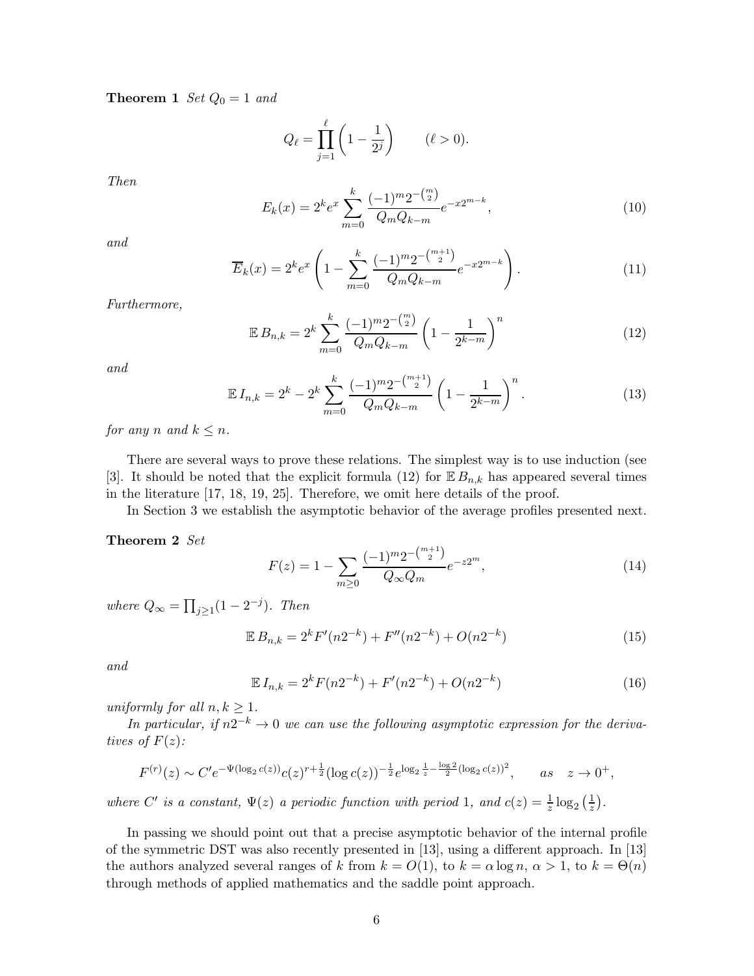**Theorem 1** Set  $Q_0 = 1$  and

$$
Q_{\ell} = \prod_{j=1}^{\ell} \left( 1 - \frac{1}{2^j} \right) \qquad (\ell > 0).
$$

Then

$$
E_k(x) = 2^k e^x \sum_{m=0}^k \frac{(-1)^m 2^{-\binom{m}{2}}}{Q_m Q_{k-m}} e^{-x2^{m-k}},
$$
\n(10)

and

$$
\overline{E}_k(x) = 2^k e^x \left( 1 - \sum_{m=0}^k \frac{(-1)^m 2^{-\binom{m+1}{2}}}{Q_m Q_{k-m}} e^{-x2^{m-k}} \right). \tag{11}
$$

Furthermore,

$$
\mathbb{E}\,B_{n,k} = 2^k \sum_{m=0}^k \frac{(-1)^m 2^{-\binom{m}{2}}}{Q_m Q_{k-m}} \left(1 - \frac{1}{2^{k-m}}\right)^n \tag{12}
$$

and

$$
\mathbb{E} I_{n,k} = 2^k - 2^k \sum_{m=0}^k \frac{(-1)^m 2^{-\binom{m+1}{2}}}{Q_m Q_{k-m}} \left(1 - \frac{1}{2^{k-m}}\right)^n.
$$
 (13)

for any n and  $k \leq n$ .

There are several ways to prove these relations. The simplest way is to use induction (see [3]. It should be noted that the explicit formula (12) for  $\mathbb{E} B_{n,k}$  has appeared several times in the literature [17, 18, 19, 25]. Therefore, we omit here details of the proof.

In Section 3 we establish the asymptotic behavior of the average profiles presented next.

### Theorem 2 Set

$$
F(z) = 1 - \sum_{m \ge 0} \frac{(-1)^m 2^{-\binom{m+1}{2}}}{Q_{\infty} Q_m} e^{-z2^m},\tag{14}
$$

where  $Q_{\infty} = \prod_{j\geq 1} (1 - 2^{-j}).$  Then

$$
\mathbb{E}\,B_{n,k} = 2^k F'(n2^{-k}) + F''(n2^{-k}) + O(n2^{-k})\tag{15}
$$

and

$$
\mathbb{E} I_{n,k} = 2^k F(n2^{-k}) + F'(n2^{-k}) + O(n2^{-k})
$$
\n(16)

uniformly for all  $n, k \geq 1$ .

In particular, if  $n2^{-k} \to 0$  we can use the following asymptotic expression for the derivatives of  $F(z)$ :

$$
F^{(r)}(z) \sim C' e^{-\Psi(\log_2 c(z))} c(z)^{r+\frac{1}{2}} (\log c(z))^{-\frac{1}{2}} e^{\log_2 \frac{1}{z} - \frac{\log_2 2}{2} (\log_2 c(z))^2}, \quad as \quad z \to 0^+,
$$

where C' is a constant,  $\Psi(z)$  a periodic function with period 1, and  $c(z) = \frac{1}{z} \log_2(\frac{1}{z})$  $rac{1}{z}$ .

In passing we should point out that a precise asymptotic behavior of the internal profile of the symmetric DST was also recently presented in [13], using a different approach. In [13] the authors analyzed several ranges of k from  $k = O(1)$ , to  $k = \alpha \log n$ ,  $\alpha > 1$ , to  $k = \Theta(n)$ through methods of applied mathematics and the saddle point approach.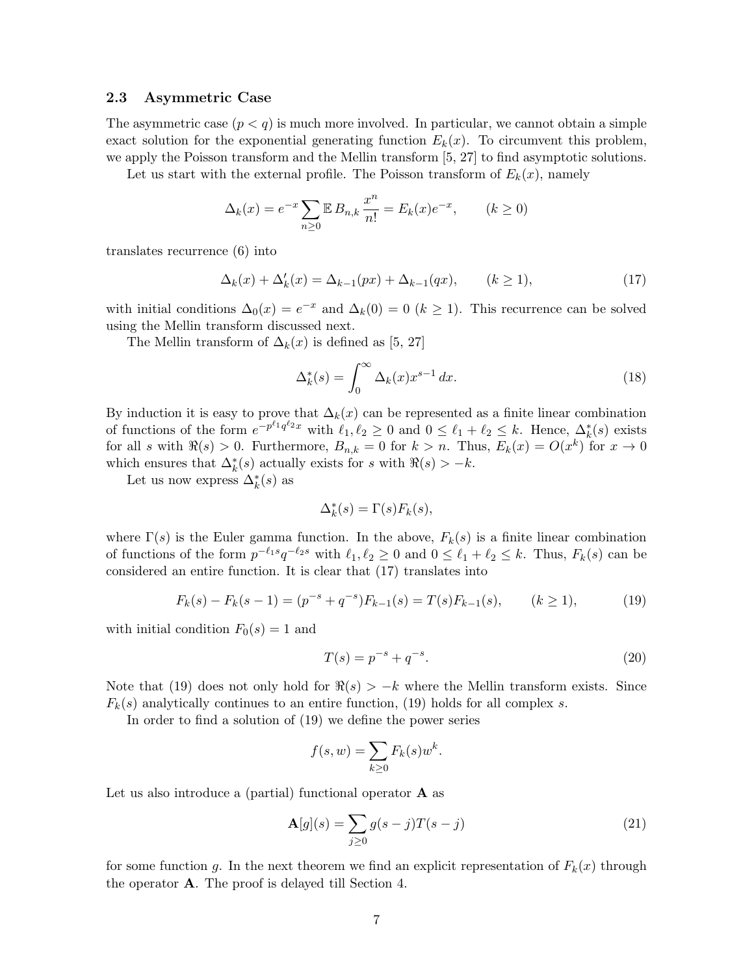### 2.3 Asymmetric Case

The asymmetric case  $(p < q)$  is much more involved. In particular, we cannot obtain a simple exact solution for the exponential generating function  $E_k(x)$ . To circumvent this problem, we apply the Poisson transform and the Mellin transform [5, 27] to find asymptotic solutions.

Let us start with the external profile. The Poisson transform of  $E_k(x)$ , namely

$$
\Delta_k(x) = e^{-x} \sum_{n \ge 0} \mathbb{E} B_{n,k} \frac{x^n}{n!} = E_k(x) e^{-x}, \qquad (k \ge 0)
$$

translates recurrence (6) into

$$
\Delta_k(x) + \Delta'_k(x) = \Delta_{k-1}(px) + \Delta_{k-1}(qx), \qquad (k \ge 1), \tag{17}
$$

with initial conditions  $\Delta_0(x) = e^{-x}$  and  $\Delta_k(0) = 0$   $(k \ge 1)$ . This recurrence can be solved using the Mellin transform discussed next.

The Mellin transform of  $\Delta_k(x)$  is defined as [5, 27]

$$
\Delta_k^*(s) = \int_0^\infty \Delta_k(x) x^{s-1} dx.
$$
\n(18)

By induction it is easy to prove that  $\Delta_k(x)$  can be represented as a finite linear combination of functions of the form  $e^{-p^{\ell_1}q^{\ell_2}x}$  with  $\ell_1, \ell_2 \geq 0$  and  $0 \leq \ell_1 + \ell_2 \leq k$ . Hence,  $\Delta_k^*(s)$  exists for all s with  $\Re(s) > 0$ . Furthermore,  $B_{n,k} = 0$  for  $k > n$ . Thus,  $E_k(x) = O(x^k)$  for  $x \to 0$ which ensures that  $\Delta_k^*(s)$  actually exists for s with  $\Re(s) > -k$ .

Let us now express  $\Delta_k^*(s)$  as

$$
\Delta_k^*(s) = \Gamma(s) F_k(s),
$$

where  $\Gamma(s)$  is the Euler gamma function. In the above,  $F_k(s)$  is a finite linear combination of functions of the form  $p^{-\ell_1 s} q^{-\ell_2 s}$  with  $\ell_1, \ell_2 \ge 0$  and  $0 \le \ell_1 + \ell_2 \le k$ . Thus,  $F_k(s)$  can be considered an entire function. It is clear that (17) translates into

$$
F_k(s) - F_k(s-1) = (p^{-s} + q^{-s})F_{k-1}(s) = T(s)F_{k-1}(s), \qquad (k \ge 1),
$$
 (19)

with initial condition  $F_0(s) = 1$  and

$$
T(s) = p^{-s} + q^{-s}.
$$
\n(20)

Note that (19) does not only hold for  $\Re(s) > -k$  where the Mellin transform exists. Since  $F_k(s)$  analytically continues to an entire function, (19) holds for all complex s.

In order to find a solution of (19) we define the power series

$$
f(s, w) = \sum_{k \ge 0} F_k(s) w^k.
$$

Let us also introduce a (partial) functional operator **A** as

$$
\mathbf{A}[g](s) = \sum_{j\geq 0} g(s-j)T(s-j) \tag{21}
$$

for some function g. In the next theorem we find an explicit representation of  $F_k(x)$  through the operator A. The proof is delayed till Section 4.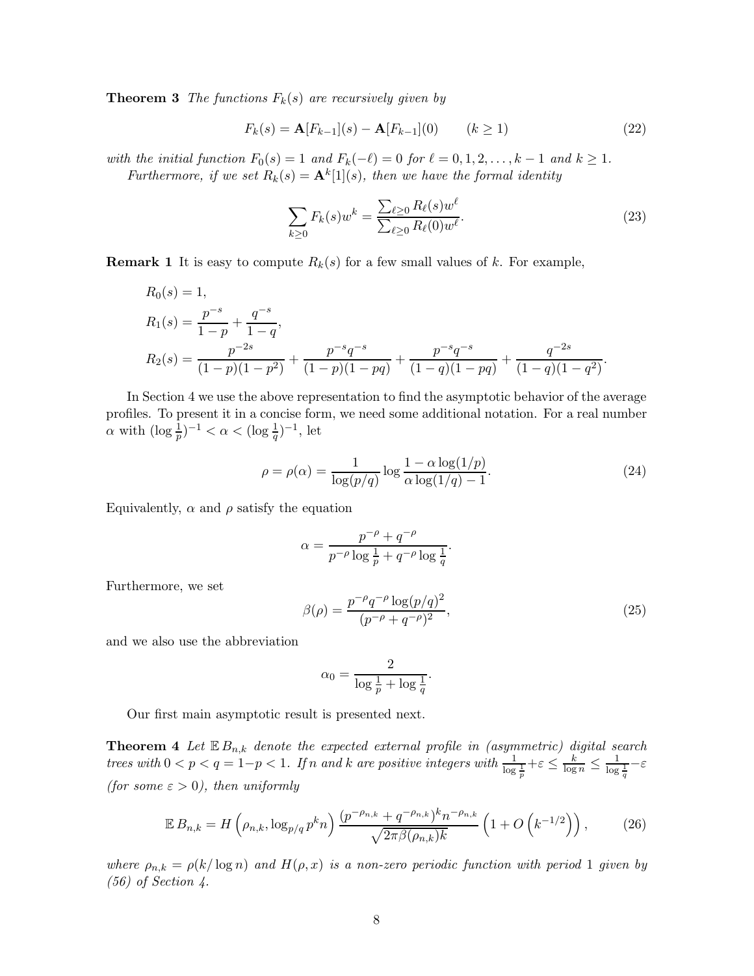**Theorem 3** The functions  $F_k(s)$  are recursively given by

$$
F_k(s) = \mathbf{A}[F_{k-1}](s) - \mathbf{A}[F_{k-1}](0) \qquad (k \ge 1)
$$
\n(22)

with the initial function  $F_0(s) = 1$  and  $F_k(-\ell) = 0$  for  $\ell = 0, 1, 2, \ldots, k - 1$  and  $k \ge 1$ . Furthermore, if we set  $R_k(s) = \mathbf{A}^k[1](s)$ , then we have the formal identity

$$
\sum_{k\geq 0} F_k(s) w^k = \frac{\sum_{\ell\geq 0} R_\ell(s) w^\ell}{\sum_{\ell\geq 0} R_\ell(0) w^\ell}.
$$
\n(23)

**Remark 1** It is easy to compute  $R_k(s)$  for a few small values of k. For example,

$$
R_0(s) = 1,
$$
  
\n
$$
R_1(s) = \frac{p^{-s}}{1-p} + \frac{q^{-s}}{1-q},
$$
  
\n
$$
R_2(s) = \frac{p^{-2s}}{(1-p)(1-p^2)} + \frac{p^{-s}q^{-s}}{(1-p)(1-pq)} + \frac{p^{-s}q^{-s}}{(1-q)(1-pq)} + \frac{q^{-2s}}{(1-q)(1-q^2)}.
$$

In Section 4 we use the above representation to find the asymptotic behavior of the average profiles. To present it in a concise form, we need some additional notation. For a real number  $\alpha$  with  $(\log \frac{1}{p})^{-1} < \alpha < (\log \frac{1}{q})^{-1}$ , let

$$
\rho = \rho(\alpha) = \frac{1}{\log(p/q)} \log \frac{1 - \alpha \log(1/p)}{\alpha \log(1/q) - 1}.
$$
\n(24)

.

Equivalently,  $\alpha$  and  $\rho$  satisfy the equation

$$
\alpha = \frac{p^{-\rho} + q^{-\rho}}{p^{-\rho}\log\frac{1}{p} + q^{-\rho}\log\frac{1}{q}}
$$

Furthermore, we set

$$
\beta(\rho) = \frac{p^{-\rho} q^{-\rho} \log(p/q)^2}{(p^{-\rho} + q^{-\rho})^2},\tag{25}
$$

and we also use the abbreviation

$$
\alpha_0 = \frac{2}{\log \frac{1}{p} + \log \frac{1}{q}}.
$$

Our first main asymptotic result is presented next.

**Theorem 4** Let  $\mathbb{E} B_{n,k}$  denote the expected external profile in (asymmetric) digital search trees with  $0 < p < q = 1-p < 1$ . If n and k are positive integers with  $\frac{1}{\log \frac{1}{p}} + \varepsilon \le \frac{k}{\log n} \le \frac{1}{\log \frac{1}{q}} - \varepsilon$ (for some  $\varepsilon > 0$ ), then uniformly

$$
\mathbb{E}\,B_{n,k} = H\left(\rho_{n,k}, \log_{p/q} p^k n\right) \frac{(p^{-\rho_{n,k}} + q^{-\rho_{n,k}})^k n^{-\rho_{n,k}}}{\sqrt{2\pi \beta(\rho_{n,k})k}} \left(1 + O\left(k^{-1/2}\right)\right),\tag{26}
$$

where  $\rho_{n,k} = \rho(k/\log n)$  and  $H(\rho, x)$  is a non-zero periodic function with period 1 given by (56) of Section 4.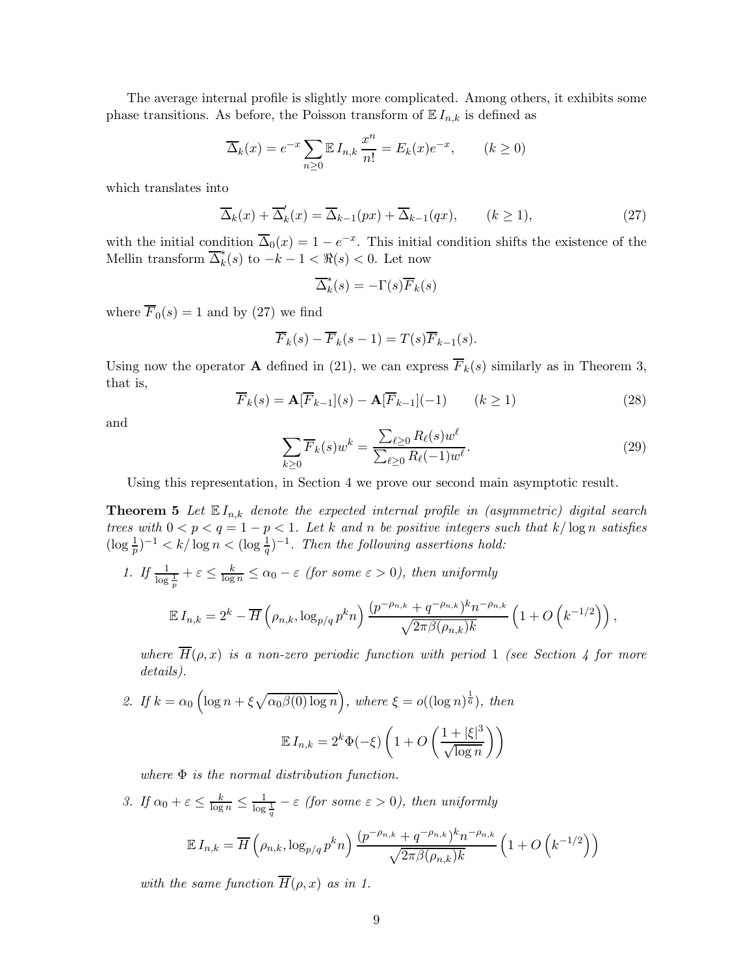The average internal profile is slightly more complicated. Among others, it exhibits some phase transitions. As before, the Poisson transform of  $E I_{n,k}$  is defined as

$$
\overline{\Delta}_k(x) = e^{-x} \sum_{n \ge 0} \mathbb{E} I_{n,k} \frac{x^n}{n!} = E_k(x) e^{-x}, \qquad (k \ge 0)
$$

which translates into

$$
\overline{\Delta}_k(x) + \overline{\Delta}'_k(x) = \overline{\Delta}_{k-1}(px) + \overline{\Delta}_{k-1}(qx), \qquad (k \ge 1), \tag{27}
$$

with the initial condition  $\overline{\Delta}_0(x) = 1 - e^{-x}$ . This initial condition shifts the existence of the Mellin transform  $\overline{\Delta}_k^*(s)$  to  $-k-1 < \Re(s) < 0$ . Let now

$$
\overline{\Delta}_k^*(s) = -\Gamma(s)\overline{F}_k(s)
$$

where  $\overline{F}_0(s) = 1$  and by (27) we find

$$
\overline{F}_k(s) - \overline{F}_k(s-1) = T(s)\overline{F}_{k-1}(s).
$$

Using now the operator **A** defined in (21), we can express  $\overline{F}_k(s)$  similarly as in Theorem 3, that is,

$$
\overline{F}_k(s) = \mathbf{A}[\overline{F}_{k-1}](s) - \mathbf{A}[\overline{F}_{k-1}](-1) \qquad (k \ge 1)
$$
\n(28)

and

$$
\sum_{k\geq 0} \overline{F}_k(s) w^k = \frac{\sum_{\ell \geq 0} R_{\ell}(s) w^{\ell}}{\sum_{\ell \geq 0} R_{\ell}(-1) w^{\ell}}.
$$
\n(29)

Using this representation, in Section 4 we prove our second main asymptotic result.

**Theorem 5** Let  $\mathbb{E} I_{n,k}$  denote the expected internal profile in (asymmetric) digital search trees with  $0 < p < q = 1 - p < 1$ . Let k and n be positive integers such that  $k/\log n$  satisfies  $(\log \frac{1}{p})^{-1} < k/\log n < (\log \frac{1}{q})^{-1}$ . Then the following assertions hold:

1. If  $\frac{1}{\log \frac{1}{p}} + \varepsilon \le \frac{k}{\log n} \le \alpha_0 - \varepsilon$  (for some  $\varepsilon > 0$ ), then uniformly

$$
\mathbb{E} I_{n,k} = 2^k - \overline{H} \left( \rho_{n,k}, \log_{p/q} p^k n \right) \frac{(p^{-\rho_{n,k}} + q^{-\rho_{n,k}})^k n^{-\rho_{n,k}}}{\sqrt{2\pi \beta(\rho_{n,k})k}} \left( 1 + O\left( k^{-1/2} \right) \right),
$$

where  $\overline{H}(\rho, x)$  is a non-zero periodic function with period 1 (see Section 4 for more details).

2. If 
$$
k = \alpha_0 \left( \log n + \xi \sqrt{\alpha_0 \beta(0) \log n} \right)
$$
, where  $\xi = o((\log n)^{\frac{1}{6}})$ , then  
\n
$$
\mathbb{E} I_{n,k} = 2^k \Phi(-\xi) \left( 1 + O\left(\frac{1 + |\xi|^3}{\sqrt{\log n}}\right) \right)
$$

where  $\Phi$  is the normal distribution function.

3. If  $\alpha_0 + \varepsilon \leq \frac{k}{\log n} \leq \frac{1}{\log \frac{1}{q}} - \varepsilon$  (for some  $\varepsilon > 0$ ), then uniformly

$$
\mathbb{E} I_{n,k} = \overline{H}\left(\rho_{n,k}, \log_{p/q} p^k n\right) \frac{(p^{-\rho_{n,k}} + q^{-\rho_{n,k}})^k n^{-\rho_{n,k}}}{\sqrt{2\pi\beta(\rho_{n,k})k}} \left(1 + O\left(k^{-1/2}\right)\right)
$$

with the same function  $\overline{H}(\rho, x)$  as in 1.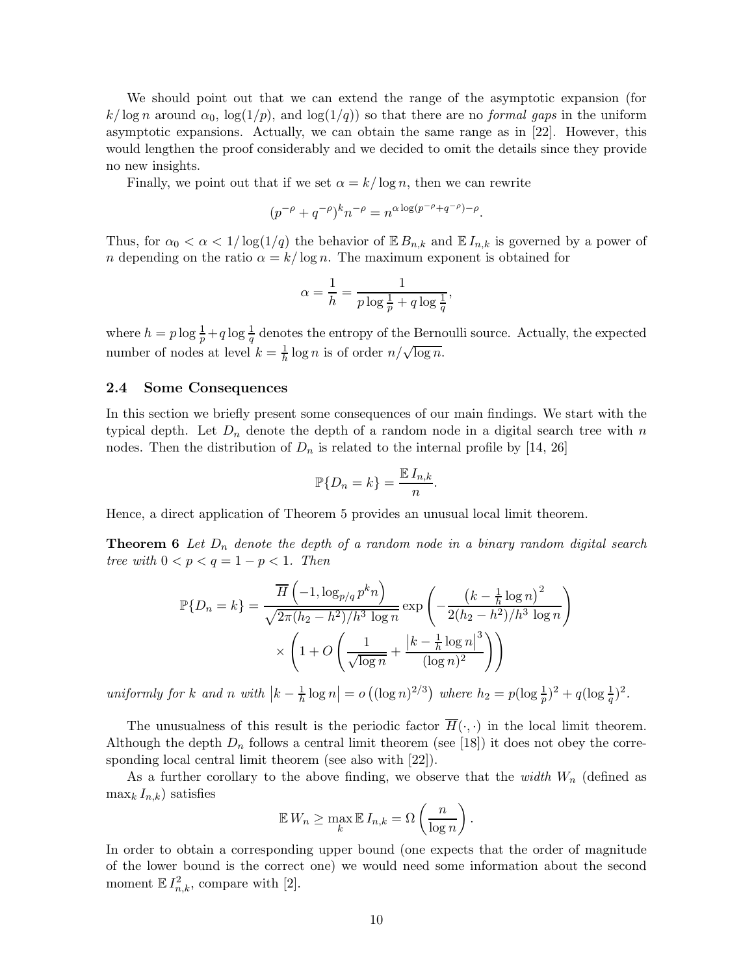We should point out that we can extend the range of the asymptotic expansion (for  $k/\log n$  around  $\alpha_0$ ,  $\log(1/p)$ , and  $\log(1/q)$  so that there are no *formal gaps* in the uniform asymptotic expansions. Actually, we can obtain the same range as in [22]. However, this would lengthen the proof considerably and we decided to omit the details since they provide no new insights.

Finally, we point out that if we set  $\alpha = k/\log n$ , then we can rewrite

$$
(p^{-\rho} + q^{-\rho})^k n^{-\rho} = n^{\alpha \log(p^{-\rho} + q^{-\rho}) - \rho}.
$$

Thus, for  $\alpha_0 < \alpha < 1/\log(1/q)$  the behavior of  $\mathbb{E} B_{n,k}$  and  $\mathbb{E} I_{n,k}$  is governed by a power of n depending on the ratio  $\alpha = k/\log n$ . The maximum exponent is obtained for

$$
\alpha = \frac{1}{h} = \frac{1}{p \log \frac{1}{p} + q \log \frac{1}{q}},
$$

where  $h = p \log \frac{1}{p} + q \log \frac{1}{q}$  denotes the entropy of the Bernoulli source. Actually, the expected number of nodes at level  $k = \frac{1}{h} \log n$  is of order  $n/\sqrt{\log n}$ .

#### 2.4 Some Consequences

In this section we briefly present some consequences of our main findings. We start with the typical depth. Let  $D_n$  denote the depth of a random node in a digital search tree with n nodes. Then the distribution of  $D_n$  is related to the internal profile by [14, 26]

$$
\mathbb{P}\{D_n = k\} = \frac{\mathbb{E} I_{n,k}}{n}.
$$

Hence, a direct application of Theorem 5 provides an unusual local limit theorem.

**Theorem 6** Let  $D_n$  denote the depth of a random node in a binary random digital search tree with  $0 < p < q = 1 - p < 1$ . Then

$$
\mathbb{P}\{D_n = k\} = \frac{\overline{H}\left(-1, \log_{p/q} p^k n\right)}{\sqrt{2\pi (h_2 - h^2)/h^3 \log n}} \exp\left(-\frac{\left(k - \frac{1}{h}\log n\right)^2}{2(h_2 - h^2)/h^3 \log n}\right)
$$

$$
\times \left(1 + O\left(\frac{1}{\sqrt{\log n}} + \frac{\left|k - \frac{1}{h}\log n\right|^3}{(\log n)^2}\right)\right)
$$

uniformly for k and n with  $\left|k-\frac{1}{h}\log n\right| = o\left((\log n)^{2/3}\right)$  where  $h_2 = p(\log \frac{1}{p})^2 + q(\log \frac{1}{q})^2$ .

The unusualness of this result is the periodic factor  $\overline{H}(\cdot, \cdot)$  in the local limit theorem. Although the depth  $D_n$  follows a central limit theorem (see [18]) it does not obey the corresponding local central limit theorem (see also with [22]).

As a further corollary to the above finding, we observe that the *width*  $W_n$  (defined as  $\max_k I_{n,k}$ ) satisfies

$$
\mathbb{E} W_n \ge \max_k \mathbb{E} I_{n,k} = \Omega \left( \frac{n}{\log n} \right).
$$

In order to obtain a corresponding upper bound (one expects that the order of magnitude of the lower bound is the correct one) we would need some information about the second moment  $\mathbb{E} I_{n,k}^2$ , compare with [2].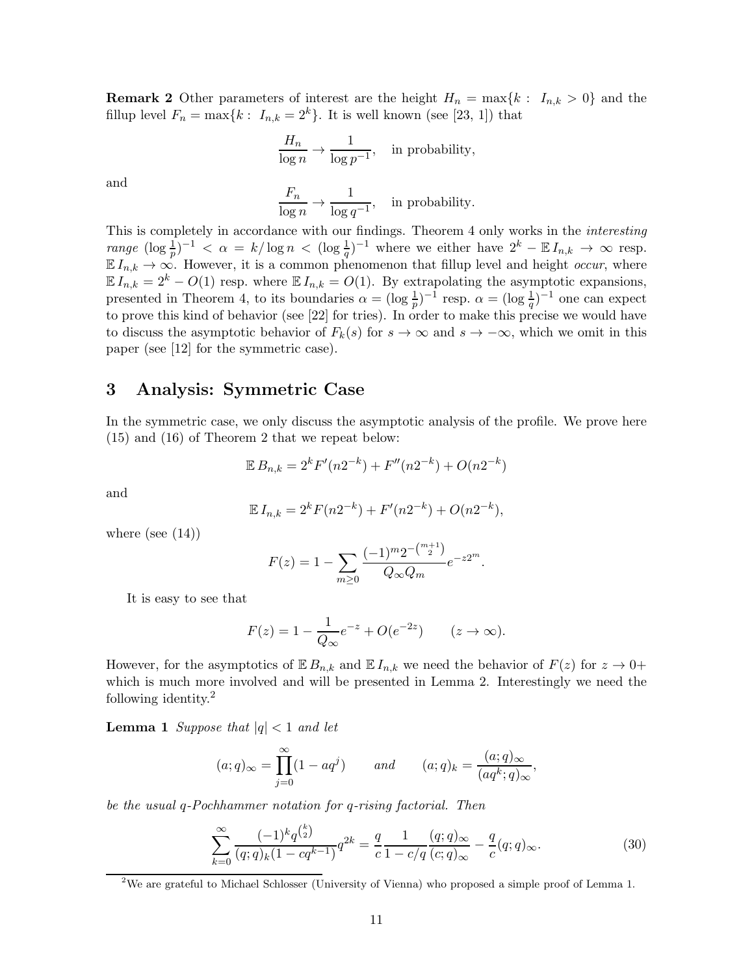**Remark 2** Other parameters of interest are the height  $H_n = \max\{k : I_{n,k} > 0\}$  and the fillup level  $F_n = \max\{k : I_{n,k} = 2^k\}$ . It is well known (see [23, 1]) that

$$
\frac{H_n}{\log n} \to \frac{1}{\log p^{-1}},
$$
 in probability,

and

 $F_n$  $\frac{1}{\log n}$   $\rightarrow$ 1  $\frac{1}{\log q^{-1}}$ , in probability.

This is completely in accordance with our findings. Theorem 4 only works in the interesting range  $(\log \frac{1}{p})^{-1} < \alpha = k/\log n < (\log \frac{1}{q})^{-1}$  where we either have  $2^k - \mathbb{E} I_{n,k} \to \infty$  resp.  $\mathbb{E} I_{n,k} \to \infty$ . However, it is a common phenomenon that fillup level and height *occur*, where  $\mathbb{E} I_{n,k} = 2^k - O(1)$  resp. where  $\mathbb{E} I_{n,k} = O(1)$ . By extrapolating the asymptotic expansions, presented in Theorem 4, to its boundaries  $\alpha = (\log \frac{1}{p})^{-1}$  resp.  $\alpha = (\log \frac{1}{q})^{-1}$  one can expect to prove this kind of behavior (see [22] for tries). In order to make this precise we would have to discuss the asymptotic behavior of  $F_k(s)$  for  $s \to \infty$  and  $s \to -\infty$ , which we omit in this paper (see [12] for the symmetric case).

### 3 Analysis: Symmetric Case

In the symmetric case, we only discuss the asymptotic analysis of the profile. We prove here (15) and (16) of Theorem 2 that we repeat below:

$$
\mathbb{E} B_{n,k} = 2^k F'(n2^{-k}) + F''(n2^{-k}) + O(n2^{-k})
$$

and

$$
\mathbb{E} I_{n,k} = 2^k F(n2^{-k}) + F'(n2^{-k}) + O(n2^{-k}),
$$

where (see  $(14)$ )

$$
F(z) = 1 - \sum_{m \ge 0} \frac{(-1)^m 2^{-\binom{m+1}{2}}}{Q_\infty Q_m} e^{-z2^m}.
$$

It is easy to see that

$$
F(z) = 1 - \frac{1}{Q_{\infty}} e^{-z} + O(e^{-2z}) \qquad (z \to \infty).
$$

However, for the asymptotics of  $\mathbb{E} B_{n,k}$  and  $\mathbb{E} I_{n,k}$  we need the behavior of  $F(z)$  for  $z \to 0+$ which is much more involved and will be presented in Lemma 2. Interestingly we need the following identity.<sup>2</sup>

**Lemma 1** Suppose that  $|q| < 1$  and let

$$
(a;q)_{\infty} = \prod_{j=0}^{\infty} (1 - aq^j) \qquad and \qquad (a;q)_k = \frac{(a;q)_{\infty}}{(aq^k;q)_{\infty}},
$$

be the usual q-Pochhammer notation for q-rising factorial. Then

 $\lambda$ 

$$
\sum_{k=0}^{\infty} \frac{(-1)^k q^{\binom{k}{2}}}{(q;q)_k (1-cq^{k-1})} q^{2k} = \frac{q}{c} \frac{1}{1-c/q} \frac{(q;q)_{\infty}}{(c;q)_{\infty}} - \frac{q}{c}(q;q)_{\infty}.
$$
 (30)

<sup>&</sup>lt;sup>2</sup>We are grateful to Michael Schlosser (University of Vienna) who proposed a simple proof of Lemma 1.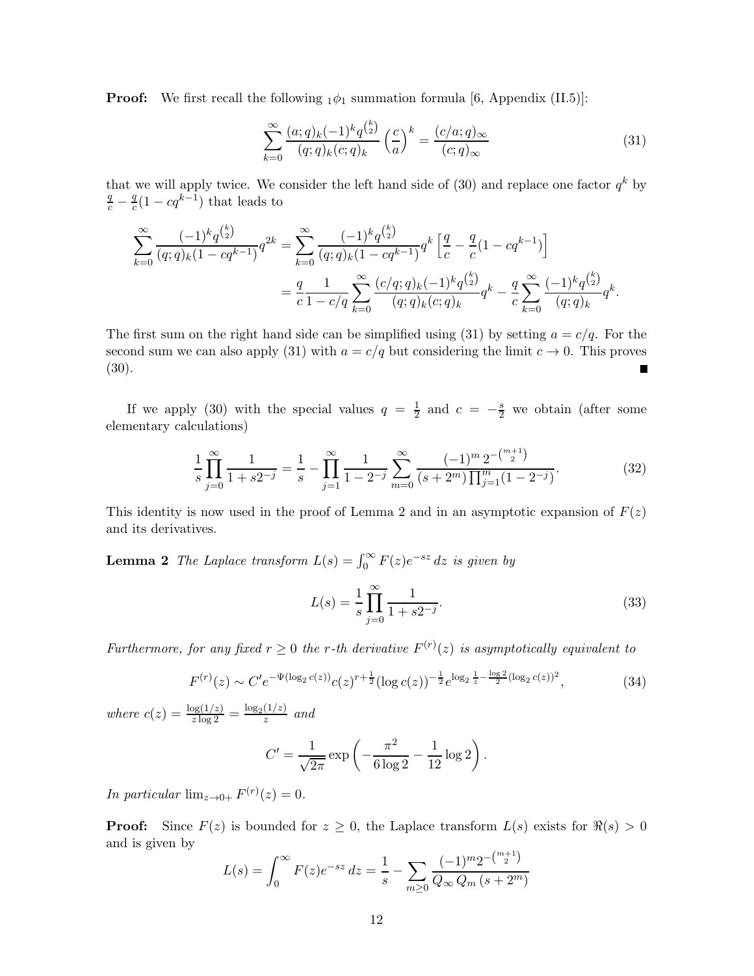**Proof:** We first recall the following  $_1\phi_1$  summation formula [6, Appendix (II.5)]:

$$
\sum_{k=0}^{\infty} \frac{(a;q)_k (-1)^k q^{\binom{k}{2}}}{(q;q)_k (c;q)_k} \left(\frac{c}{a}\right)^k = \frac{(c/a;q)_{\infty}}{(c;q)_{\infty}} \tag{31}
$$

that we will apply twice. We consider the left hand side of  $(30)$  and replace one factor  $q^k$  by  $\frac{q}{c} - \frac{q}{c}$  $\frac{q}{c}(1-cq^{k-1})$  that leads to

$$
\sum_{k=0}^{\infty} \frac{(-1)^k q^{\binom{k}{2}}}{(q;q)_k (1-cq^{k-1})} q^{2k} = \sum_{k=0}^{\infty} \frac{(-1)^k q^{\binom{k}{2}}}{(q;q)_k (1-cq^{k-1})} q^k \left[ \frac{q}{c} - \frac{q}{c} (1-cq^{k-1}) \right]
$$

$$
= \frac{q}{c} \frac{1}{1-c/q} \sum_{k=0}^{\infty} \frac{(c/q;q)_k (-1)^k q^{\binom{k}{2}}}{(q;q)_k (c;q)_k} q^k - \frac{q}{c} \sum_{k=0}^{\infty} \frac{(-1)^k q^{\binom{k}{2}}}{(q;q)_k} q^k.
$$

The first sum on the right hand side can be simplified using (31) by setting  $a = c/q$ . For the second sum we can also apply (31) with  $a = c/q$  but considering the limit  $c \to 0$ . This proves (30). Г

If we apply (30) with the special values  $q = \frac{1}{2}$  $\frac{1}{2}$  and  $c = -\frac{s}{2}$  we obtain (after some elementary calculations)

$$
\frac{1}{s} \prod_{j=0}^{\infty} \frac{1}{1+s2^{-j}} = \frac{1}{s} - \prod_{j=1}^{\infty} \frac{1}{1-2^{-j}} \sum_{m=0}^{\infty} \frac{(-1)^m 2^{-\binom{m+1}{2}}}{(s+2^m) \prod_{j=1}^m (1-2^{-j})}.
$$
(32)

This identity is now used in the proof of Lemma 2 and in an asymptotic expansion of  $F(z)$ and its derivatives.

**Lemma 2** The Laplace transform  $L(s) = \int_0^\infty F(z)e^{-sz} dz$  is given by

$$
L(s) = \frac{1}{s} \prod_{j=0}^{\infty} \frac{1}{1 + s2^{-j}}.
$$
\n(33)

Furthermore, for any fixed  $r \geq 0$  the r-th derivative  $F^{(r)}(z)$  is asymptotically equivalent to

$$
F^{(r)}(z) \sim C' e^{-\Psi(\log_2 c(z))} c(z)^{r + \frac{1}{2}} (\log c(z))^{-\frac{1}{2}} e^{\log_2 \frac{1}{z} - \frac{\log 2}{2} (\log_2 c(z))^2},
$$
(34)

where  $c(z) = \frac{\log(1/z)}{z \log 2} = \frac{\log_2(1/z)}{z}$  $rac{(1/z)}{z}$  and

$$
C' = \frac{1}{\sqrt{2\pi}} \exp\left(-\frac{\pi^2}{6\log 2} - \frac{1}{12}\log 2\right).
$$

In particular  $\lim_{z\to 0+} F^{(r)}(z) = 0.$ 

**Proof:** Since  $F(z)$  is bounded for  $z \geq 0$ , the Laplace transform  $L(s)$  exists for  $\Re(s) > 0$ and is given by

$$
L(s) = \int_0^\infty F(z)e^{-sz} dz = \frac{1}{s} - \sum_{m \ge 0} \frac{(-1)^m 2^{-\binom{m+1}{2}}}{Q_\infty Q_m (s+2^m)}
$$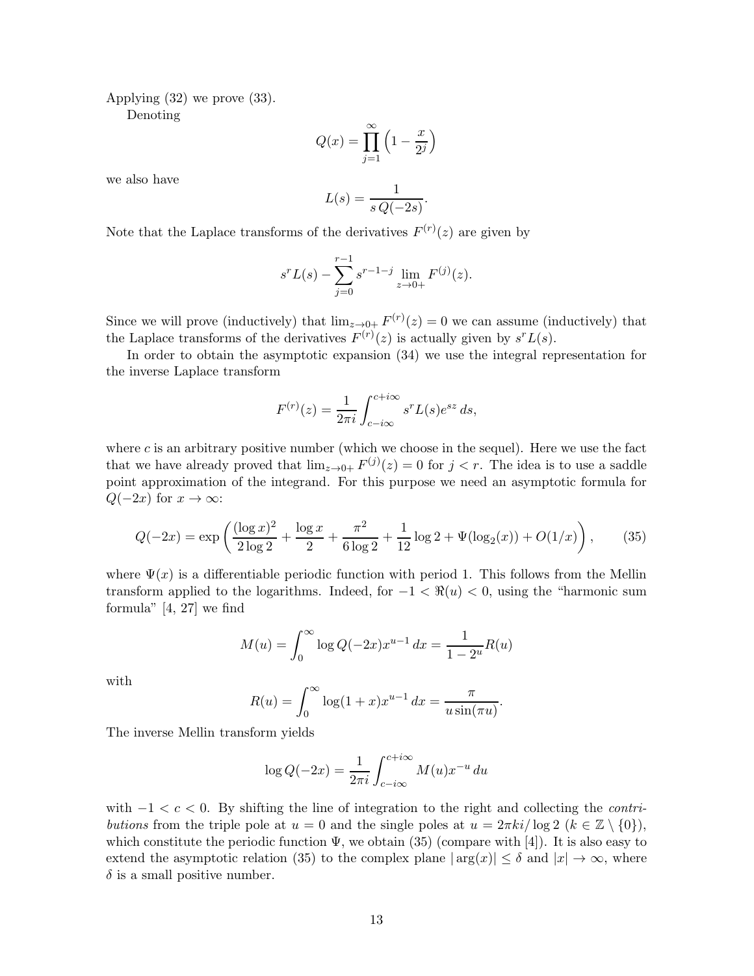Applying (32) we prove (33).

Denoting

$$
Q(x) = \prod_{j=1}^{\infty} \left( 1 - \frac{x}{2^j} \right)
$$

we also have

$$
L(s) = \frac{1}{s \, Q(-2s)}
$$

.

Note that the Laplace transforms of the derivatives  $F^{(r)}(z)$  are given by

$$
s^{r}L(s) - \sum_{j=0}^{r-1} s^{r-1-j} \lim_{z \to 0+} F^{(j)}(z).
$$

Since we will prove (inductively) that  $\lim_{z\to 0+} F^{(r)}(z) = 0$  we can assume (inductively) that the Laplace transforms of the derivatives  $F^{(r)}(z)$  is actually given by  $s^r L(s)$ .

In order to obtain the asymptotic expansion (34) we use the integral representation for the inverse Laplace transform

$$
F^{(r)}(z) = \frac{1}{2\pi i} \int_{c-i\infty}^{c+i\infty} s^r L(s) e^{sz} ds,
$$

where  $c$  is an arbitrary positive number (which we choose in the sequel). Here we use the fact that we have already proved that  $\lim_{z\to 0+} F^{(j)}(z) = 0$  for  $j < r$ . The idea is to use a saddle point approximation of the integrand. For this purpose we need an asymptotic formula for  $Q(-2x)$  for  $x \to \infty$ :

$$
Q(-2x) = \exp\left(\frac{(\log x)^2}{2\log 2} + \frac{\log x}{2} + \frac{\pi^2}{6\log 2} + \frac{1}{12}\log 2 + \Psi(\log_2(x)) + O(1/x)\right),\tag{35}
$$

where  $\Psi(x)$  is a differentiable periodic function with period 1. This follows from the Mellin transform applied to the logarithms. Indeed, for  $-1 < \Re(u) < 0$ , using the "harmonic sum formula" [4, 27] we find

$$
M(u) = \int_0^\infty \log Q(-2x) x^{u-1} dx = \frac{1}{1 - 2^u} R(u)
$$

with

$$
R(u) = \int_0^\infty \log(1+x)x^{u-1} dx = \frac{\pi}{u\sin(\pi u)}.
$$

The inverse Mellin transform yields

$$
\log Q(-2x) = \frac{1}{2\pi i} \int_{c-i\infty}^{c+i\infty} M(u)x^{-u} du
$$

with  $-1 < c < 0$ . By shifting the line of integration to the right and collecting the *contri*butions from the triple pole at  $u = 0$  and the single poles at  $u = 2\pi k i / \log 2$   $(k \in \mathbb{Z} \setminus \{0\})$ , which constitute the periodic function  $\Psi$ , we obtain (35) (compare with [4]). It is also easy to extend the asymptotic relation (35) to the complex plane  $|\arg(x)| \leq \delta$  and  $|x| \to \infty$ , where  $\delta$  is a small positive number.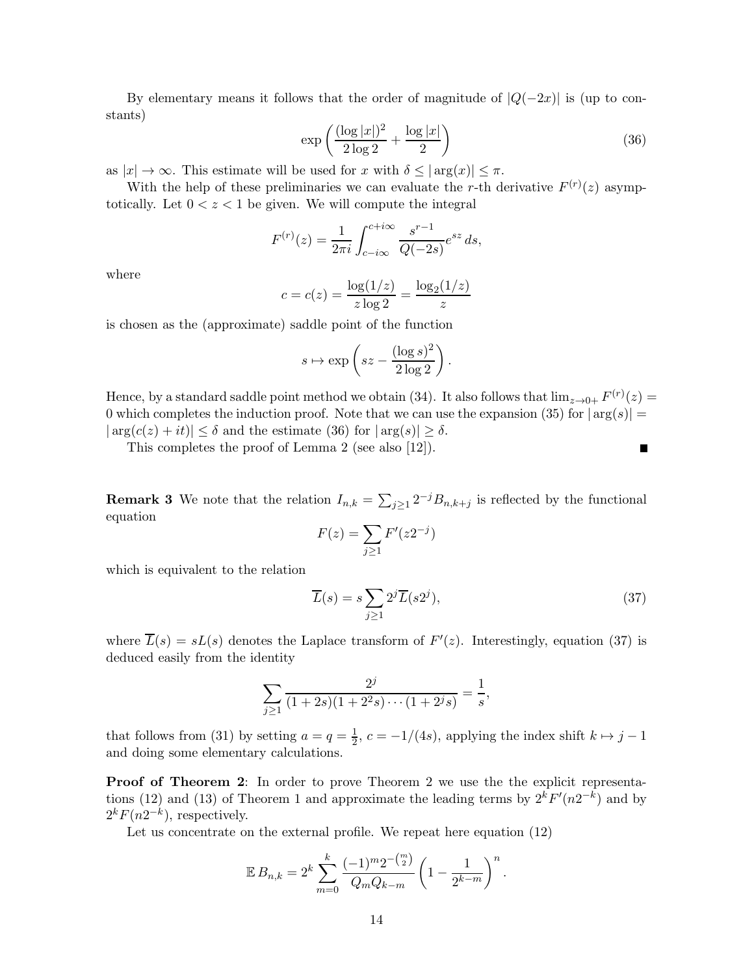By elementary means it follows that the order of magnitude of  $|Q(-2x)|$  is (up to constants)

$$
\exp\left(\frac{(\log|x|)^2}{2\log 2} + \frac{\log|x|}{2}\right) \tag{36}
$$

.

as  $|x| \to \infty$ . This estimate will be used for x with  $\delta \leq |\arg(x)| \leq \pi$ .

With the help of these preliminaries we can evaluate the r-th derivative  $F^{(r)}(z)$  asymptotically. Let  $0 < z < 1$  be given. We will compute the integral

$$
F^{(r)}(z) = \frac{1}{2\pi i} \int_{c-i\infty}^{c+i\infty} \frac{s^{r-1}}{Q(-2s)} e^{sz} ds,
$$

where

$$
c = c(z) = \frac{\log(1/z)}{z \log 2} = \frac{\log_2(1/z)}{z}
$$

is chosen as the (approximate) saddle point of the function

$$
s \mapsto \exp\left(sz - \frac{(\log s)^2}{2\log 2}\right)
$$

Hence, by a standard saddle point method we obtain (34). It also follows that  $\lim_{z\to 0+} F^{(r)}(z) =$ 0 which completes the induction proof. Note that we can use the expansion (35) for  $|\arg(s)| =$  $|\arg(c(z) + it)| \leq \delta$  and the estimate (36) for  $|\arg(s)| \geq \delta$ .

This completes the proof of Lemma 2 (see also [12]).

**Remark 3** We note that the relation  $I_{n,k} = \sum_{j\geq 1} 2^{-j}B_{n,k+j}$  is reflected by the functional equation

$$
F(z) = \sum_{j \ge 1} F'(z 2^{-j})
$$

which is equivalent to the relation

$$
\overline{L}(s) = s \sum_{j \ge 1} 2^j \overline{L}(s 2^j),\tag{37}
$$

Г

where  $L(s) = sL(s)$  denotes the Laplace transform of  $F'(z)$ . Interestingly, equation (37) is deduced easily from the identity

$$
\sum_{j\geq 1} \frac{2^j}{(1+2s)(1+2^2s)\cdots(1+2^js)} = \frac{1}{s},
$$

that follows from (31) by setting  $a = q = \frac{1}{2}$ ,  $c = -1/(4s)$ , applying the index shift  $k \mapsto j - 1$ and doing some elementary calculations.

Proof of Theorem 2: In order to prove Theorem 2 we use the the explicit representations (12) and (13) of Theorem 1 and approximate the leading terms by  $2^{k}F'(n2^{-k})$  and by  $2^k F(n2^{-k})$ , respectively.

Let us concentrate on the external profile. We repeat here equation (12)

$$
\mathbb{E} B_{n,k} = 2^k \sum_{m=0}^k \frac{(-1)^m 2^{-\binom{m}{2}}}{Q_m Q_{k-m}} \left(1 - \frac{1}{2^{k-m}}\right)^n.
$$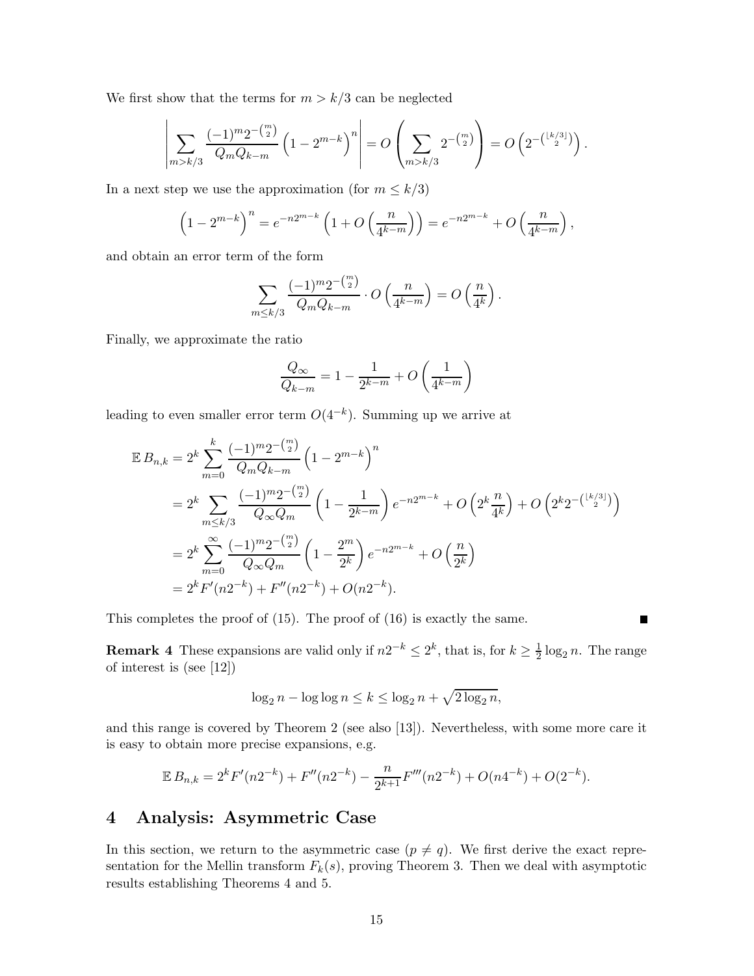We first show that the terms for  $m > k/3$  can be neglected

$$
\left| \sum_{m>k/3} \frac{(-1)^m 2^{-\binom{m}{2}}}{Q_m Q_{k-m}} \left( 1 - 2^{m-k} \right)^n \right| = O\left( \sum_{m>k/3} 2^{-\binom{m}{2}} \right) = O\left( 2^{-\binom{\lfloor k/3 \rfloor}{2}} \right).
$$

In a next step we use the approximation (for  $m \leq k/3$ )

$$
\left(1 - 2^{m-k}\right)^n = e^{-n2^{m-k}} \left(1 + O\left(\frac{n}{4^{k-m}}\right)\right) = e^{-n2^{m-k}} + O\left(\frac{n}{4^{k-m}}\right),
$$

and obtain an error term of the form

$$
\sum_{m\leq k/3}\frac{(-1)^m2^{-\binom{m}{2}}}{Q_mQ_{k-m}}\cdot O\left(\frac{n}{4^{k-m}}\right)=O\left(\frac{n}{4^k}\right).
$$

 $\sim$ 

Finally, we approximate the ratio

$$
\frac{Q_{\infty}}{Q_{k-m}} = 1 - \frac{1}{2^{k-m}} + O\left(\frac{1}{4^{k-m}}\right)
$$

leading to even smaller error term  $O(4^{-k})$ . Summing up we arrive at

$$
\mathbb{E} B_{n,k} = 2^k \sum_{m=0}^k \frac{(-1)^m 2^{-\binom{m}{2}}}{Q_m Q_{k-m}} \left(1 - 2^{m-k}\right)^n
$$
  
=  $2^k \sum_{m \leq k/3} \frac{(-1)^m 2^{-\binom{m}{2}}}{Q_\infty Q_m} \left(1 - \frac{1}{2^{k-m}}\right) e^{-n2^{m-k}} + O\left(2^k \frac{n}{4^k}\right) + O\left(2^k 2^{-\binom{\lfloor k/3 \rfloor}{2}}\right)$   
=  $2^k \sum_{m=0}^\infty \frac{(-1)^m 2^{-\binom{m}{2}}}{Q_\infty Q_m} \left(1 - \frac{2^m}{2^k}\right) e^{-n2^{m-k}} + O\left(\frac{n}{2^k}\right)$   
=  $2^k F'(n2^{-k}) + F''(n2^{-k}) + O(n2^{-k}).$ 

This completes the proof of (15). The proof of (16) is exactly the same.

**Remark 4** These expansions are valid only if  $n2^{-k} \leq 2^k$ , that is, for  $k \geq \frac{1}{2} \log_2 n$ . The range of interest is (see [12])

Ш

$$
\log_2 n - \log \log n \le k \le \log_2 n + \sqrt{2 \log_2 n},
$$

and this range is covered by Theorem 2 (see also [13]). Nevertheless, with some more care it is easy to obtain more precise expansions, e.g.

$$
\mathbb{E} B_{n,k} = 2^k F'(n2^{-k}) + F''(n2^{-k}) - \frac{n}{2^{k+1}} F'''(n2^{-k}) + O(n4^{-k}) + O(2^{-k}).
$$

## 4 Analysis: Asymmetric Case

In this section, we return to the asymmetric case  $(p \neq q)$ . We first derive the exact representation for the Mellin transform  $F_k(s)$ , proving Theorem 3. Then we deal with asymptotic results establishing Theorems 4 and 5.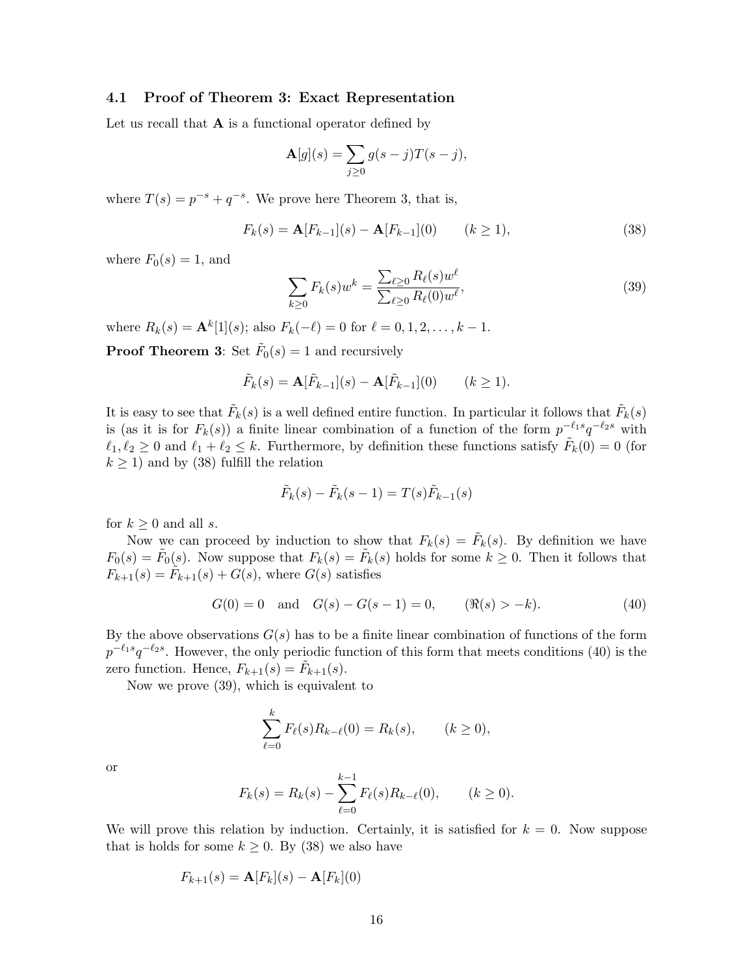### 4.1 Proof of Theorem 3: Exact Representation

Let us recall that  $A$  is a functional operator defined by

$$
\mathbf{A}[g](s) = \sum_{j\geq 0} g(s-j)T(s-j),
$$

where  $T(s) = p^{-s} + q^{-s}$ . We prove here Theorem 3, that is,

$$
F_k(s) = \mathbf{A}[F_{k-1}](s) - \mathbf{A}[F_{k-1}](0) \qquad (k \ge 1),
$$
\n(38)

where  $F_0(s) = 1$ , and

$$
\sum_{k\geq 0} F_k(s) w^k = \frac{\sum_{\ell \geq 0} R_{\ell}(s) w^{\ell}}{\sum_{\ell \geq 0} R_{\ell}(0) w^{\ell}},
$$
\n(39)

where  $R_k(s) = \mathbf{A}^k[1](s)$ ; also  $F_k(-\ell) = 0$  for  $\ell = 0, 1, 2, ..., k - 1$ .

**Proof Theorem 3:** Set  $\tilde{F}_0(s) = 1$  and recursively

$$
\tilde{F}_k(s) = \mathbf{A}[\tilde{F}_{k-1}](s) - \mathbf{A}[\tilde{F}_{k-1}](0) \qquad (k \ge 1).
$$

It is easy to see that  $\tilde{F}_k(s)$  is a well defined entire function. In particular it follows that  $\tilde{F}_k(s)$ is (as it is for  $F_k(s)$ ) a finite linear combination of a function of the form  $p^{-\ell_1 s} q^{-\ell_2 s}$  with  $\ell_1, \ell_2 \geq 0$  and  $\ell_1 + \ell_2 \leq k$ . Furthermore, by definition these functions satisfy  $\tilde{F}_k(0) = 0$  (for  $k \geq 1$ ) and by (38) fulfill the relation

$$
\tilde{F}_k(s) - \tilde{F}_k(s-1) = T(s)\tilde{F}_{k-1}(s)
$$

for  $k \geq 0$  and all s.

Now we can proceed by induction to show that  $F_k(s) = \tilde{F}_k(s)$ . By definition we have  $F_0(s) = \tilde{F}_0(s)$ . Now suppose that  $F_k(s) = \tilde{F}_k(s)$  holds for some  $k \geq 0$ . Then it follows that  $F_{k+1}(s) = \tilde{F}_{k+1}(s) + G(s)$ , where  $G(s)$  satisfies

$$
G(0) = 0 \text{ and } G(s) - G(s - 1) = 0, \qquad (\Re(s) > -k). \tag{40}
$$

By the above observations  $G(s)$  has to be a finite linear combination of functions of the form  $p^{-\ell_1 s}q^{-\ell_2 s}$ . However, the only periodic function of this form that meets conditions (40) is the zero function. Hence,  $F_{k+1}(s) = \tilde{F}_{k+1}(s)$ .

Now we prove (39), which is equivalent to

$$
\sum_{\ell=0}^k F_{\ell}(s) R_{k-\ell}(0) = R_k(s), \qquad (k \ge 0),
$$

or

$$
F_k(s) = R_k(s) - \sum_{\ell=0}^{k-1} F_\ell(s) R_{k-\ell}(0), \qquad (k \ge 0).
$$

We will prove this relation by induction. Certainly, it is satisfied for  $k = 0$ . Now suppose that is holds for some  $k \geq 0$ . By (38) we also have

$$
F_{k+1}(s) = \mathbf{A}[F_k](s) - \mathbf{A}[F_k](0)
$$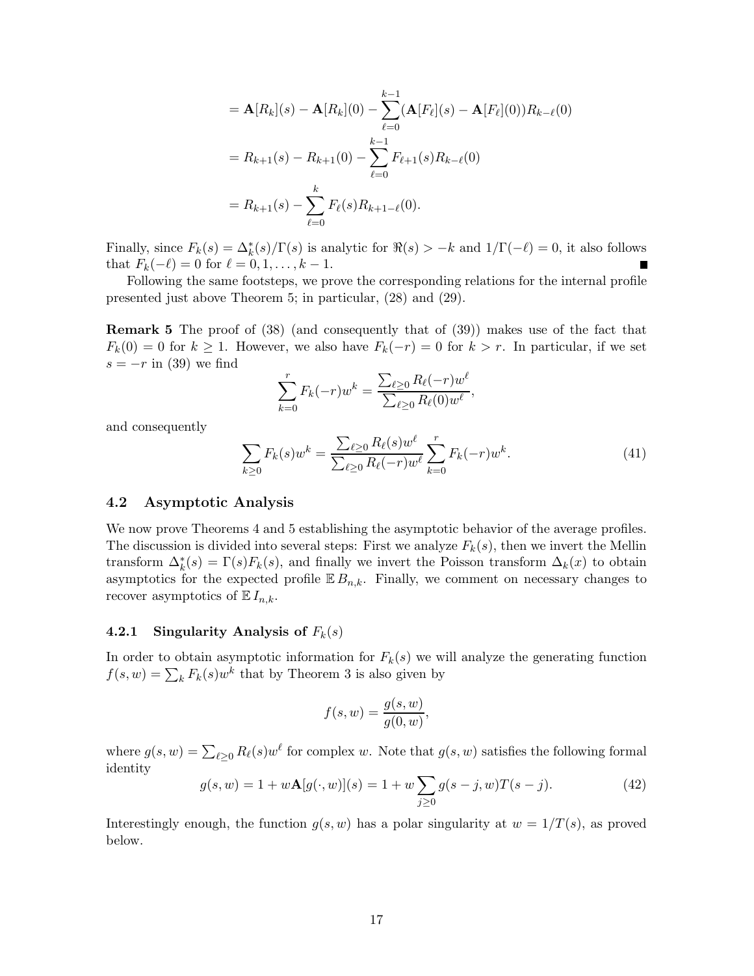$$
= \mathbf{A}[R_k](s) - \mathbf{A}[R_k](0) - \sum_{\ell=0}^{k-1} (\mathbf{A}[F_{\ell}](s) - \mathbf{A}[F_{\ell}](0)) R_{k-\ell}(0)
$$
  

$$
= R_{k+1}(s) - R_{k+1}(0) - \sum_{\ell=0}^{k-1} F_{\ell+1}(s) R_{k-\ell}(0)
$$
  

$$
= R_{k+1}(s) - \sum_{\ell=0}^{k} F_{\ell}(s) R_{k+1-\ell}(0).
$$

Finally, since  $F_k(s) = \Delta_k^*(s)/\Gamma(s)$  is analytic for  $\Re(s) > -k$  and  $1/\Gamma(-\ell) = 0$ , it also follows that  $F_k(-\ell) = 0$  for  $\ell = 0, 1, ..., k - 1$ . г

Following the same footsteps, we prove the corresponding relations for the internal profile presented just above Theorem 5; in particular, (28) and (29).

Remark 5 The proof of (38) (and consequently that of (39)) makes use of the fact that  $F_k(0) = 0$  for  $k \ge 1$ . However, we also have  $F_k(-r) = 0$  for  $k > r$ . In particular, if we set  $s = -r$  in (39) we find

$$
\sum_{k=0}^{r} F_k(-r) w^k = \frac{\sum_{\ell \ge 0} R_{\ell}(-r) w^{\ell}}{\sum_{\ell \ge 0} R_{\ell}(0) w^{\ell}},
$$

and consequently

$$
\sum_{k\geq 0} F_k(s) w^k = \frac{\sum_{\ell \geq 0} R_\ell(s) w^\ell}{\sum_{\ell \geq 0} R_\ell(-r) w^\ell} \sum_{k=0}^r F_k(-r) w^k.
$$
\n(41)

#### 4.2 Asymptotic Analysis

We now prove Theorems 4 and 5 establishing the asymptotic behavior of the average profiles. The discussion is divided into several steps: First we analyze  $F_k(s)$ , then we invert the Mellin transform  $\Delta_k^*(s) = \Gamma(s) F_k(s)$ , and finally we invert the Poisson transform  $\Delta_k(x)$  to obtain asymptotics for the expected profile  $\mathbb{E} B_{n,k}$ . Finally, we comment on necessary changes to recover asymptotics of  $\mathbb{E} I_{n,k}$ .

### 4.2.1 Singularity Analysis of  $F_k(s)$

In order to obtain asymptotic information for  $F_k(s)$  we will analyze the generating function  $f(s, w) = \sum_{k} F_{k}(s)w^{k}$  that by Theorem 3 is also given by

$$
f(s, w) = \frac{g(s, w)}{g(0, w)},
$$

where  $g(s, w) = \sum_{\ell \geq 0} R_{\ell}(s)w^{\ell}$  for complex w. Note that  $g(s, w)$  satisfies the following formal identity

$$
g(s, w) = 1 + w \mathbf{A}[g(\cdot, w)](s) = 1 + w \sum_{j \ge 0} g(s - j, w) T(s - j).
$$
 (42)

Interestingly enough, the function  $g(s, w)$  has a polar singularity at  $w = 1/T(s)$ , as proved below.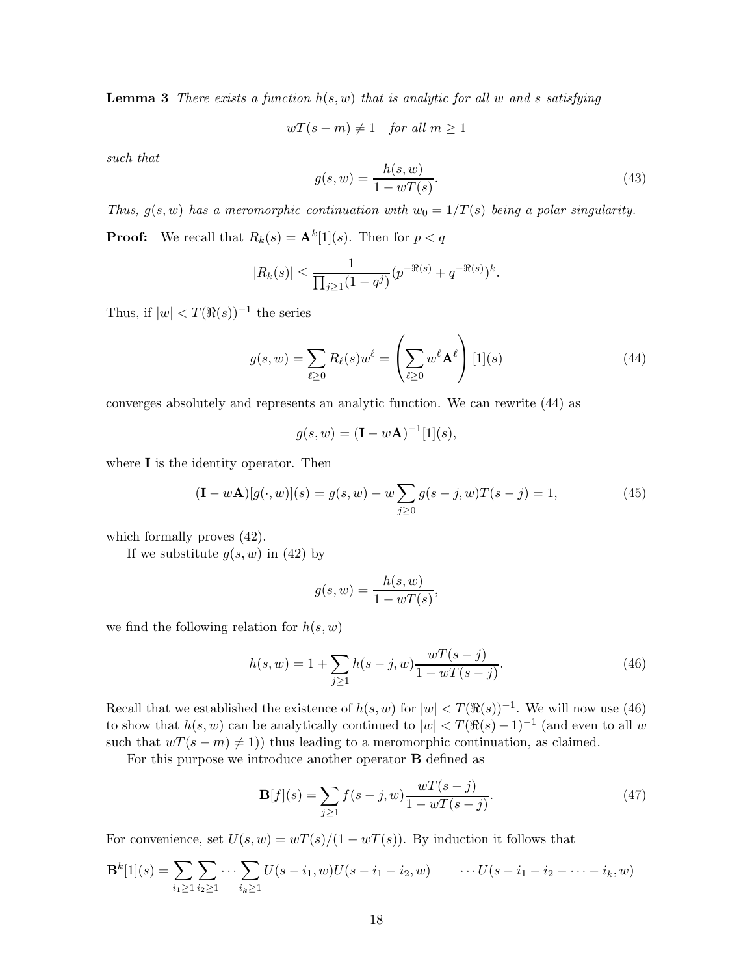**Lemma 3** There exists a function  $h(s, w)$  that is analytic for all w and s satisfying

 $wT(s-m) \neq 1$  for all  $m \geq 1$ 

such that

$$
g(s, w) = \frac{h(s, w)}{1 - wT(s)}.
$$
\n(43)

Thus,  $g(s, w)$  has a meromorphic continuation with  $w_0 = 1/T(s)$  being a polar singularity. **Proof:** We recall that  $R_k(s) = \mathbf{A}^k[1](s)$ . Then for  $p < q$ 

$$
|R_k(s)| \le \frac{1}{\prod_{j\ge 1} (1-q^j)} (p^{-\Re(s)} + q^{-\Re(s)})^k.
$$

Thus, if  $|w| < T(\Re(s))^{-1}$  the series

$$
g(s, w) = \sum_{\ell \ge 0} R_{\ell}(s) w^{\ell} = \left(\sum_{\ell \ge 0} w^{\ell} \mathbf{A}^{\ell}\right) [1](s)
$$
 (44)

converges absolutely and represents an analytic function. We can rewrite (44) as

$$
g(s, w) = (\mathbf{I} - w\mathbf{A})^{-1}[1](s),
$$

where **I** is the identity operator. Then

$$
(\mathbf{I} - w\mathbf{A})[g(\cdot, w)](s) = g(s, w) - w \sum_{j \ge 0} g(s - j, w)T(s - j) = 1,
$$
\n(45)

which formally proves (42).

If we substitute  $g(s, w)$  in (42) by

$$
g(s, w) = \frac{h(s, w)}{1 - wT(s)},
$$

we find the following relation for  $h(s, w)$ 

$$
h(s, w) = 1 + \sum_{j \ge 1} h(s - j, w) \frac{wT(s - j)}{1 - wT(s - j)}.
$$
\n(46)

Recall that we established the existence of  $h(s, w)$  for  $|w| < T(\Re(s))^{-1}$ . We will now use (46) to show that  $h(s, w)$  can be analytically continued to  $|w| < T(\Re(s) - 1)^{-1}$  (and even to all w such that  $wT(s - m) \neq 1$ ) thus leading to a meromorphic continuation, as claimed.

For this purpose we introduce another operator B defined as

$$
\mathbf{B}[f](s) = \sum_{j \ge 1} f(s - j, w) \frac{wT(s - j)}{1 - wT(s - j)}.
$$
\n(47)

For convenience, set  $U(s, w) = wT(s)/(1 - wT(s))$ . By induction it follows that

$$
\mathbf{B}^{k}[1](s) = \sum_{i_1 \geq 1} \sum_{i_2 \geq 1} \cdots \sum_{i_k \geq 1} U(s - i_1, w)U(s - i_1 - i_2, w) \qquad \cdots U(s - i_1 - i_2 - \cdots - i_k, w)
$$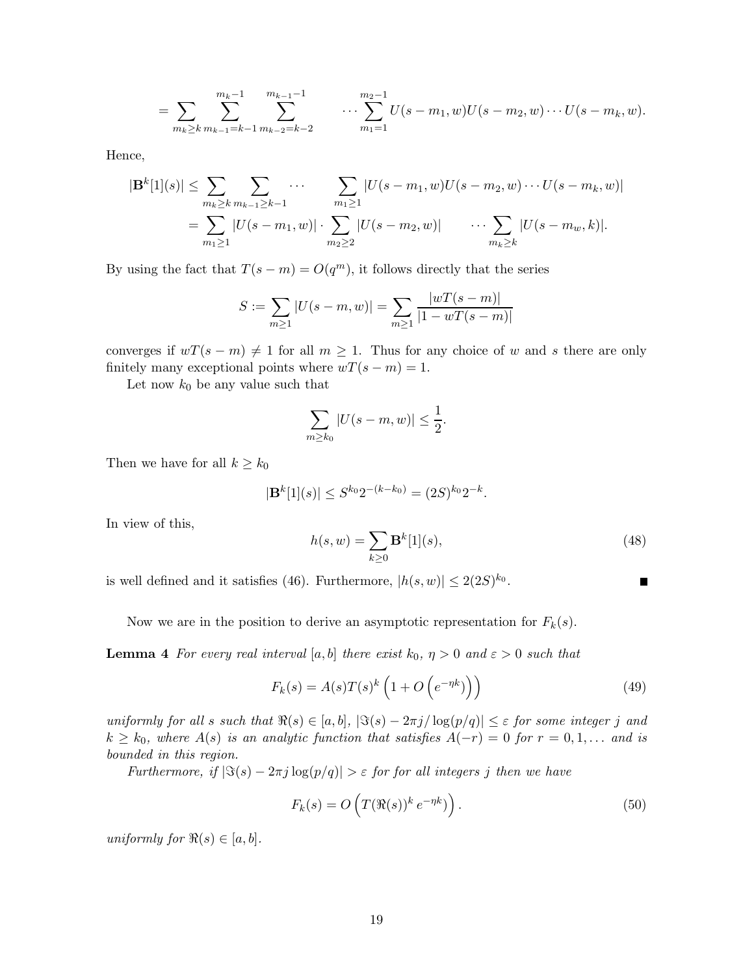$$
= \sum_{m_k \geq k} \sum_{m_{k-1}=k-1}^{m_{k-1}} \sum_{m_{k-2}=k-2}^{m_{k-1}-1} \cdots \sum_{m_1=1}^{m_2-1} U(s-m_1, w)U(s-m_2, w) \cdots U(s-m_k, w).
$$

Hence,

$$
|\mathbf{B}^{k}[1](s)| \leq \sum_{m_{k} \geq k} \sum_{m_{k-1} \geq k-1} \cdots \sum_{m_{1} \geq 1} |U(s-m_{1},w)U(s-m_{2},w)\cdots U(s-m_{k},w)|
$$
  
= 
$$
\sum_{m_{1} \geq 1} |U(s-m_{1},w)| \cdot \sum_{m_{2} \geq 2} |U(s-m_{2},w)| \cdots \sum_{m_{k} \geq k} |U(s-m_{w},k)|.
$$

By using the fact that  $T(s-m) = O(q^m)$ , it follows directly that the series

$$
S := \sum_{m \ge 1} |U(s - m, w)| = \sum_{m \ge 1} \frac{|wT(s - m)|}{|1 - wT(s - m)|}
$$

converges if  $wT(s - m) \neq 1$  for all  $m \geq 1$ . Thus for any choice of w and s there are only finitely many exceptional points where  $wT(s - m) = 1$ .

Let now  $k_0$  be any value such that

$$
\sum_{m\geq k_0} |U(s-m,w)| \leq \frac{1}{2}.
$$

Then we have for all  $k \geq k_0$ 

$$
|\mathbf{B}^k[1](s)| \leq S^{k_0} 2^{-(k-k_0)} = (2S)^{k_0} 2^{-k}.
$$

In view of this,

$$
h(s, w) = \sum_{k \ge 0} \mathbf{B}^k[1](s),
$$
\n(48)

is well defined and it satisfies (46). Furthermore,  $|h(s, w)| \leq 2(2S)^{k_0}$ .

Now we are in the position to derive an asymptotic representation for  $F_k(s)$ .

**Lemma 4** For every real interval [a, b] there exist  $k_0$ ,  $\eta > 0$  and  $\varepsilon > 0$  such that

$$
F_k(s) = A(s)T(s)^k \left(1 + O\left(e^{-\eta k}\right)\right) \tag{49}
$$

uniformly for all s such that  $\Re(s) \in [a, b]$ ,  $|\Im(s) - 2\pi j / \log(p/q)| \leq \varepsilon$  for some integer j and  $k \geq k_0$ , where  $A(s)$  is an analytic function that satisfies  $A(-r) = 0$  for  $r = 0, 1, \ldots$  and is bounded in this region.

Furthermore, if  $|\Im(s) - 2\pi j \log(p/q)| > \varepsilon$  for for all integers j then we have

$$
F_k(s) = O\left(T(\Re(s))^k e^{-\eta k}\right).
$$
\n(50)

uniformly for  $\Re(s) \in [a, b]$ .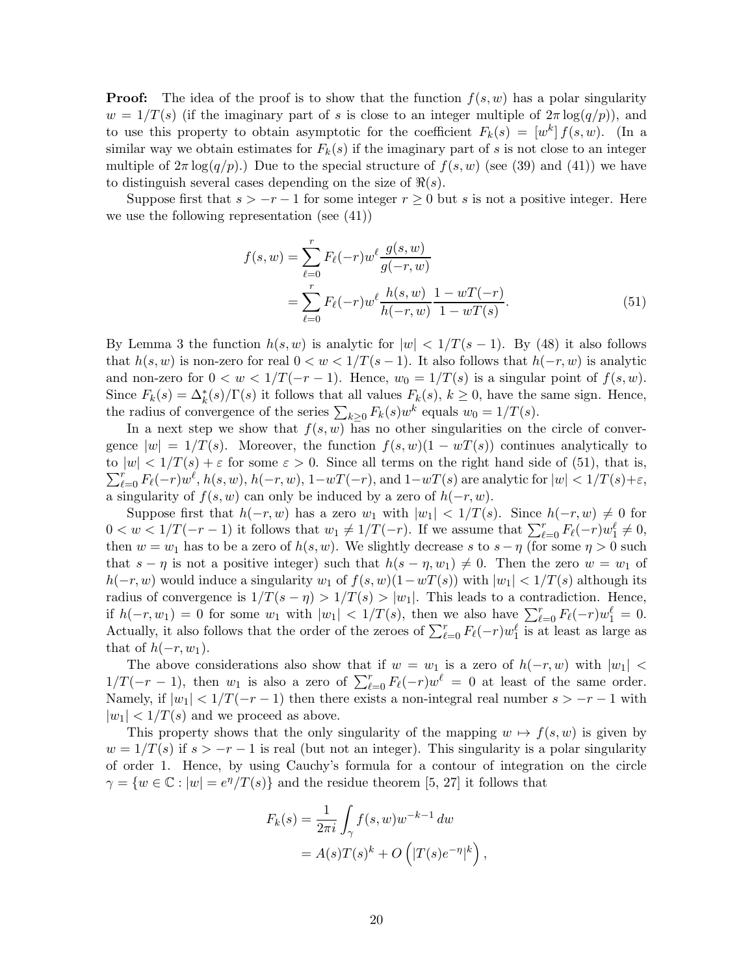**Proof:** The idea of the proof is to show that the function  $f(s, w)$  has a polar singularity  $w = 1/T(s)$  (if the imaginary part of s is close to an integer multiple of  $2\pi \log(q/p)$ ), and to use this property to obtain asymptotic for the coefficient  $F_k(s) = [w^k] f(s, w)$ . (In a similar way we obtain estimates for  $F_k(s)$  if the imaginary part of s is not close to an integer multiple of  $2\pi \log(q/p)$ .) Due to the special structure of  $f(s, w)$  (see (39) and (41)) we have to distinguish several cases depending on the size of  $\Re(s)$ .

Suppose first that  $s > -r - 1$  for some integer  $r \geq 0$  but s is not a positive integer. Here we use the following representation (see (41))

$$
f(s, w) = \sum_{\ell=0}^{r} F_{\ell}(-r) w^{\ell} \frac{g(s, w)}{g(-r, w)}
$$
  
= 
$$
\sum_{\ell=0}^{r} F_{\ell}(-r) w^{\ell} \frac{h(s, w)}{h(-r, w)} \frac{1 - wT(-r)}{1 - wT(s)}.
$$
 (51)

By Lemma 3 the function  $h(s, w)$  is analytic for  $|w| < 1/T(s - 1)$ . By (48) it also follows that  $h(s, w)$  is non-zero for real  $0 < w < 1/T(s - 1)$ . It also follows that  $h(-r, w)$  is analytic and non-zero for  $0 < w < 1/T(-r-1)$ . Hence,  $w_0 = 1/T(s)$  is a singular point of  $f(s, w)$ . Since  $F_k(s) = \Delta_k^*(s) / \Gamma(s)$  it follows that all values  $F_k(s)$ ,  $k \ge 0$ , have the same sign. Hence, the radius of convergence of the series  $\sum_{k\geq 0} F_k(s)w^k$  equals  $w_0 = 1/T(s)$ .

In a next step we show that  $f(s, w)$  has no other singularities on the circle of convergence  $|w| = 1/T(s)$ . Moreover, the function  $f(s, w)(1 - wT(s))$  continues analytically to  $\sum_{\ell=0}^r F_{\ell}(-r)w^{\ell}, h(s, w), h(-r, w), 1-wT(-r), \text{and } 1-wT(s)$  are analytic for  $|w| < 1/T(s)+\varepsilon$ , to  $|w| < 1/T(s) + \varepsilon$  for some  $\varepsilon > 0$ . Since all terms on the right hand side of (51), that is, a singularity of  $f(s, w)$  can only be induced by a zero of  $h(-r, w)$ .

Suppose first that  $h(-r, w)$  has a zero  $w_1$  with  $|w_1| < 1/T(s)$ . Since  $h(-r, w) \neq 0$  for  $0 < w < 1/T(-r-1)$  it follows that  $w_1 \neq 1/T(-r)$ . If we assume that  $\sum_{\ell=0}^{r} F_{\ell}(-r)w_1^{\ell} \neq 0$ , then  $w = w_1$  has to be a zero of  $h(s, w)$ . We slightly decrease s to  $s - \eta$  (for some  $\eta > 0$  such that  $s - \eta$  is not a positive integer) such that  $h(s - \eta, w_1) \neq 0$ . Then the zero  $w = w_1$  of  $h(-r, w)$  would induce a singularity  $w_1$  of  $f(s, w)(1-wT(s))$  with  $|w_1| < 1/T(s)$  although its radius of convergence is  $1/T(s - \eta) > 1/T(s) > |w_1|$ . This leads to a contradiction. Hence, if  $h(-r, w_1) = 0$  for some  $w_1$  with  $|w_1| < 1/T(s)$ , then we also have  $\sum_{\ell=0}^r F_{\ell}(-r)w_1^{\ell} = 0$ . Actually, it also follows that the order of the zeroes of  $\sum_{\ell=0}^{r} F_{\ell}(-r)w_1^{\ell}$  is at least as large as that of  $h(-r, w_1)$ .

The above considerations also show that if  $w = w_1$  is a zero of  $h(-r, w)$  with  $|w_1| <$  $1/T(-r-1)$ , then  $w_1$  is also a zero of  $\sum_{\ell=0}^r F_{\ell}(-r)w^{\ell} = 0$  at least of the same order. Namely, if  $|w_1| < 1/T(-r-1)$  then there exists a non-integral real number  $s > -r-1$  with  $|w_1|$  <  $1/T(s)$  and we proceed as above.

This property shows that the only singularity of the mapping  $w \mapsto f(s, w)$  is given by  $w = 1/T(s)$  if  $s > -r - 1$  is real (but not an integer). This singularity is a polar singularity of order 1. Hence, by using Cauchy's formula for a contour of integration on the circle  $\gamma = \{w \in \mathbb{C} : |w| = e^{\eta}/T(s)\}$  and the residue theorem [5, 27] it follows that

$$
F_k(s) = \frac{1}{2\pi i} \int_{\gamma} f(s, w) w^{-k-1} dw
$$
  
=  $A(s)T(s)^k + O\left(|T(s)e^{-\eta}|^k\right)$ ,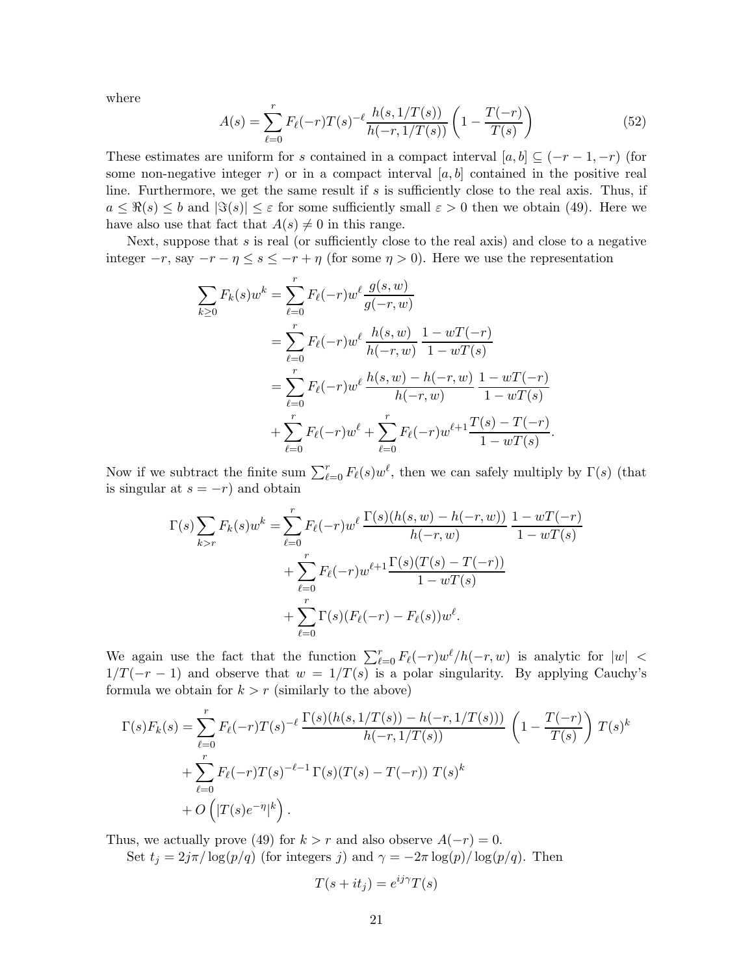where

$$
A(s) = \sum_{\ell=0}^{r} F_{\ell}(-r)T(s)^{-\ell} \frac{h(s, 1/T(s))}{h(-r, 1/T(s))} \left(1 - \frac{T(-r)}{T(s)}\right)
$$
(52)

These estimates are uniform for s contained in a compact interval  $[a, b] \subseteq (-r - 1, -r)$  (for some non-negative integer r) or in a compact interval  $[a, b]$  contained in the positive real line. Furthermore, we get the same result if s is sufficiently close to the real axis. Thus, if  $a \leq \Re(s) \leq b$  and  $|\Im(s)| \leq \varepsilon$  for some sufficiently small  $\varepsilon > 0$  then we obtain (49). Here we have also use that fact that  $A(s) \neq 0$  in this range.

Next, suppose that s is real (or sufficiently close to the real axis) and close to a negative integer  $-r$ , say  $-r - \eta \leq s \leq -r + \eta$  (for some  $\eta > 0$ ). Here we use the representation

$$
\sum_{k\geq 0} F_k(s) w^k = \sum_{\ell=0}^r F_\ell(-r) w^\ell \frac{g(s, w)}{g(-r, w)}
$$
  
= 
$$
\sum_{\ell=0}^r F_\ell(-r) w^\ell \frac{h(s, w)}{h(-r, w)} \frac{1 - wT(-r)}{1 - wT(s)}
$$
  
= 
$$
\sum_{\ell=0}^r F_\ell(-r) w^\ell \frac{h(s, w) - h(-r, w)}{h(-r, w)} \frac{1 - wT(-r)}{1 - wT(s)}
$$
  
+ 
$$
\sum_{\ell=0}^r F_\ell(-r) w^\ell + \sum_{\ell=0}^r F_\ell(-r) w^{\ell+1} \frac{T(s) - T(-r)}{1 - wT(s)}.
$$

Now if we subtract the finite sum  $\sum_{\ell=0}^{r} F_{\ell}(s)w^{\ell}$ , then we can safely multiply by  $\Gamma(s)$  (that is singular at  $s = -r$ ) and obtain

$$
\Gamma(s) \sum_{k>r} F_k(s) w^k = \sum_{\ell=0}^r F_\ell(-r) w^\ell \frac{\Gamma(s)(h(s, w) - h(-r, w))}{h(-r, w)} \frac{1 - wT(-r)}{1 - wT(s)} \n+ \sum_{\ell=0}^r F_\ell(-r) w^{\ell+1} \frac{\Gamma(s)(T(s) - T(-r))}{1 - wT(s)} \n+ \sum_{\ell=0}^r \Gamma(s) (F_\ell(-r) - F_\ell(s)) w^\ell.
$$

We again use the fact that the function  $\sum_{\ell=0}^{r} F_{\ell}(-r)w^{\ell}/h(-r, w)$  is analytic for  $|w| <$  $1/T(-r-1)$  and observe that  $w = 1/T(s)$  is a polar singularity. By applying Cauchy's formula we obtain for  $k > r$  (similarly to the above)

$$
\Gamma(s)F_k(s) = \sum_{\ell=0}^r F_{\ell}(-r)T(s)^{-\ell} \frac{\Gamma(s)(h(s,1/T(s)) - h(-r,1/T(s)))}{h(-r,1/T(s))} \left(1 - \frac{T(-r)}{T(s)}\right)T(s)^k + \sum_{\ell=0}^r F_{\ell}(-r)T(s)^{-\ell-1}\Gamma(s)(T(s) - T(-r)) T(s)^k + O\left(|T(s)e^{-\eta}|^k\right).
$$

Thus, we actually prove (49) for  $k > r$  and also observe  $A(-r) = 0$ .

Set  $t_j = 2j\pi/\log(p/q)$  (for integers j) and  $\gamma = -2\pi \log(p)/\log(p/q)$ . Then

$$
T(s+it_j) = e^{ij\gamma}T(s)
$$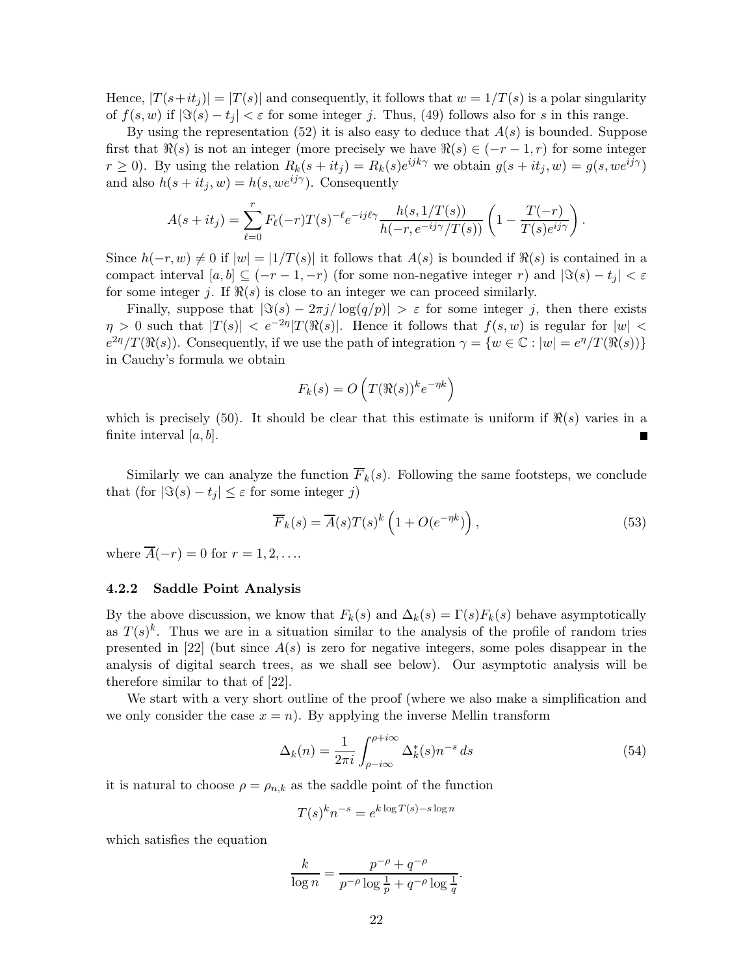Hence,  $|T(s+it_j)| = |T(s)|$  and consequently, it follows that  $w = 1/T(s)$  is a polar singularity of  $f(s, w)$  if  $|\Im(s) - t_i| < \varepsilon$  for some integer j. Thus, (49) follows also for s in this range.

By using the representation (52) it is also easy to deduce that  $A(s)$  is bounded. Suppose first that  $\Re(s)$  is not an integer (more precisely we have  $\Re(s) \in (-r-1, r)$  for some integer  $r \ge 0$ ). By using the relation  $R_k(s+it_j) = R_k(s)e^{ijk\gamma}$  we obtain  $g(s+it_j, w) = g(s, we^{ij\gamma})$ and also  $h(s + it_j, w) = h(s, we^{ij\gamma})$ . Consequently

$$
A(s+it_j) = \sum_{\ell=0}^r F_{\ell}(-r)T(s)^{-\ell}e^{-ij\ell\gamma}\frac{h(s,1/T(s))}{h(-r,e^{-ij\gamma}/T(s))}\left(1-\frac{T(-r)}{T(s)e^{ij\gamma}}\right).
$$

Since  $h(-r, w) \neq 0$  if  $|w| = |1/T(s)|$  it follows that  $A(s)$  is bounded if  $\Re(s)$  is contained in a compact interval  $[a, b] \subseteq (-r - 1, -r)$  (for some non-negative integer r) and  $|\Im(s) - t_i| < \varepsilon$ for some integer j. If  $\Re(s)$  is close to an integer we can proceed similarly.

Finally, suppose that  $|\Im(s) - 2\pi j / \log(q/p)| > \varepsilon$  for some integer j, then there exists  $\eta > 0$  such that  $|T(s)| < e^{-2\eta}|T(\Re(s)|$ . Hence it follows that  $f(s, w)$  is regular for  $|w| <$  $e^{2\eta}/T(\Re(s))$ . Consequently, if we use the path of integration  $\gamma = \{w \in \mathbb{C} : |w| = e^{\eta}/T(\Re(s))\}$ in Cauchy's formula we obtain

$$
F_k(s) = O\left(T(\Re(s))^{k} e^{-\eta k}\right)
$$

which is precisely (50). It should be clear that this estimate is uniform if  $\Re(s)$  varies in a finite interval  $[a, b]$ .

Similarly we can analyze the function  $\overline{F}_k(s)$ . Following the same footsteps, we conclude that (for  $|\Im(s) - t_i| \leq \varepsilon$  for some integer j)

$$
\overline{F}_k(s) = \overline{A}(s)T(s)^k \left(1 + O(e^{-\eta k})\right),\tag{53}
$$

where  $\overline{A}(-r) = 0$  for  $r = 1, 2, \ldots$ 

### 4.2.2 Saddle Point Analysis

By the above discussion, we know that  $F_k(s)$  and  $\Delta_k(s) = \Gamma(s)F_k(s)$  behave asymptotically as  $T(s)^k$ . Thus we are in a situation similar to the analysis of the profile of random tries presented in [22] (but since  $A(s)$  is zero for negative integers, some poles disappear in the analysis of digital search trees, as we shall see below). Our asymptotic analysis will be therefore similar to that of [22].

We start with a very short outline of the proof (where we also make a simplification and we only consider the case  $x = n$ . By applying the inverse Mellin transform

$$
\Delta_k(n) = \frac{1}{2\pi i} \int_{\rho - i\infty}^{\rho + i\infty} \Delta_k^*(s) n^{-s} ds \tag{54}
$$

it is natural to choose  $\rho = \rho_{n,k}$  as the saddle point of the function

$$
T(s)^k n^{-s} = e^{k \log T(s) - s \log n}
$$

which satisfies the equation

$$
\frac{k}{\log n} = \frac{p^{-\rho} + q^{-\rho}}{p^{-\rho}\log\frac{1}{p} + q^{-\rho}\log\frac{1}{q}}.
$$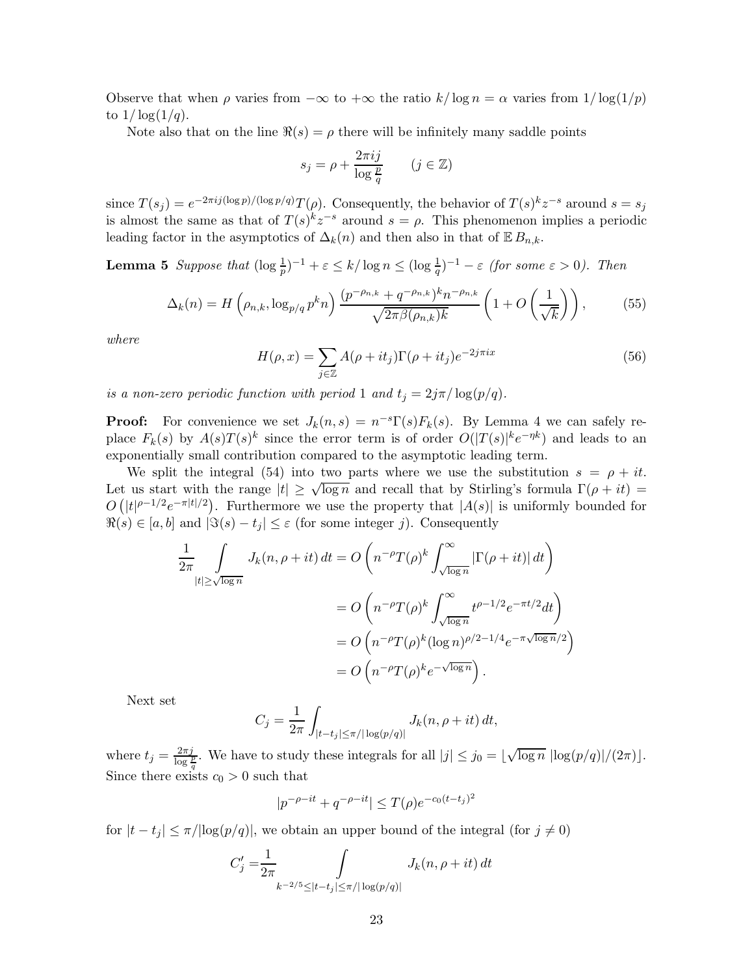Observe that when  $\rho$  varies from  $-\infty$  to  $+\infty$  the ratio  $k/\log n = \alpha$  varies from  $1/\log(1/p)$ to  $1/\log(1/q)$ .

Note also that on the line  $\Re(s) = \rho$  there will be infinitely many saddle points

$$
s_j = \rho + \frac{2\pi i j}{\log \frac{p}{q}} \qquad (j \in \mathbb{Z})
$$

since  $T(s_j) = e^{-2\pi i j (\log p)/( \log p/q)} T(\rho)$ . Consequently, the behavior of  $T(s)^k z^{-s}$  around  $s = s_j$ is almost the same as that of  $T(s)^k z^{-s}$  around  $s = \rho$ . This phenomenon implies a periodic leading factor in the asymptotics of  $\Delta_k(n)$  and then also in that of  $\mathbb{E} B_{n,k}$ .

**Lemma 5** Suppose that  $(\log \frac{1}{p})^{-1} + \varepsilon \le k/\log n \le (\log \frac{1}{q})^{-1} - \varepsilon$  (for some  $\varepsilon > 0$ ). Then

$$
\Delta_k(n) = H\left(\rho_{n,k}, \log_{p/q} p^k n\right) \frac{(p^{-\rho_{n,k}} + q^{-\rho_{n,k}})^k n^{-\rho_{n,k}}}{\sqrt{2\pi \beta(\rho_{n,k})k}} \left(1 + O\left(\frac{1}{\sqrt{k}}\right)\right),\tag{55}
$$

where

$$
H(\rho, x) = \sum_{j \in \mathbb{Z}} A(\rho + it_j) \Gamma(\rho + it_j) e^{-2j\pi ix}
$$
 (56)

is a non-zero periodic function with period 1 and  $t_j = 2j\pi/\log(p/q)$ .

**Proof:** For convenience we set  $J_k(n,s) = n^{-s}\Gamma(s)F_k(s)$ . By Lemma 4 we can safely replace  $F_k(s)$  by  $A(s)T(s)^k$  since the error term is of order  $O(|T(s)|^k e^{-\eta k})$  and leads to an exponentially small contribution compared to the asymptotic leading term.

We split the integral (54) into two parts where we use the substitution  $s = \rho + it$ . Let us start with the range  $|t| \geq \sqrt{\log n}$  and recall that by Stirling's formula  $\Gamma(\rho + it) =$  $O(|t|^{\rho-1/2}e^{-\pi|t|/2})$ . Furthermore we use the property that  $|A(s)|$  is uniformly bounded for  $\Re(s) \in [a, b]$  and  $|\Im(s) - t_j| \leq \varepsilon$  (for some integer j). Consequently

$$
\frac{1}{2\pi} \int_{|t| \ge \sqrt{\log n}} J_k(n, \rho + it) dt = O\left(n^{-\rho} T(\rho)^k \int_{\sqrt{\log n}}^{\infty} |\Gamma(\rho + it)| dt\right)
$$

$$
= O\left(n^{-\rho} T(\rho)^k \int_{\sqrt{\log n}}^{\infty} t^{\rho - 1/2} e^{-\pi t/2} dt\right)
$$

$$
= O\left(n^{-\rho} T(\rho)^k (\log n)^{\rho/2 - 1/4} e^{-\pi \sqrt{\log n}/2}\right)
$$

$$
= O\left(n^{-\rho} T(\rho)^k e^{-\sqrt{\log n}}\right).
$$

Next set

$$
C_j = \frac{1}{2\pi} \int_{|t-t_j| \le \pi/|\log(p/q)|} J_k(n, \rho + it) dt,
$$

where  $t_j = \frac{2\pi j}{\log \frac{p}{q}}$ . We have to study these integrals for all  $|j| \leq j_0 = \lfloor \sqrt{\log n} \vert \log (p/q) \vert / (2\pi) \rfloor$ . Since there exists  $c_0 > 0$  such that

$$
|p^{-\rho - it} + q^{-\rho - it}| \le T(\rho) e^{-c_0(t - t_j)^2}
$$

for  $|t - t_j| \leq \pi/|\log(p/q)|$ , we obtain an upper bound of the integral (for  $j \neq 0$ )

$$
C'_{j} = \frac{1}{2\pi} \int_{k^{-2/5} \leq |t - t_{j}| \leq \pi/|\log(p/q)|} J_{k}(n, \rho + it) dt
$$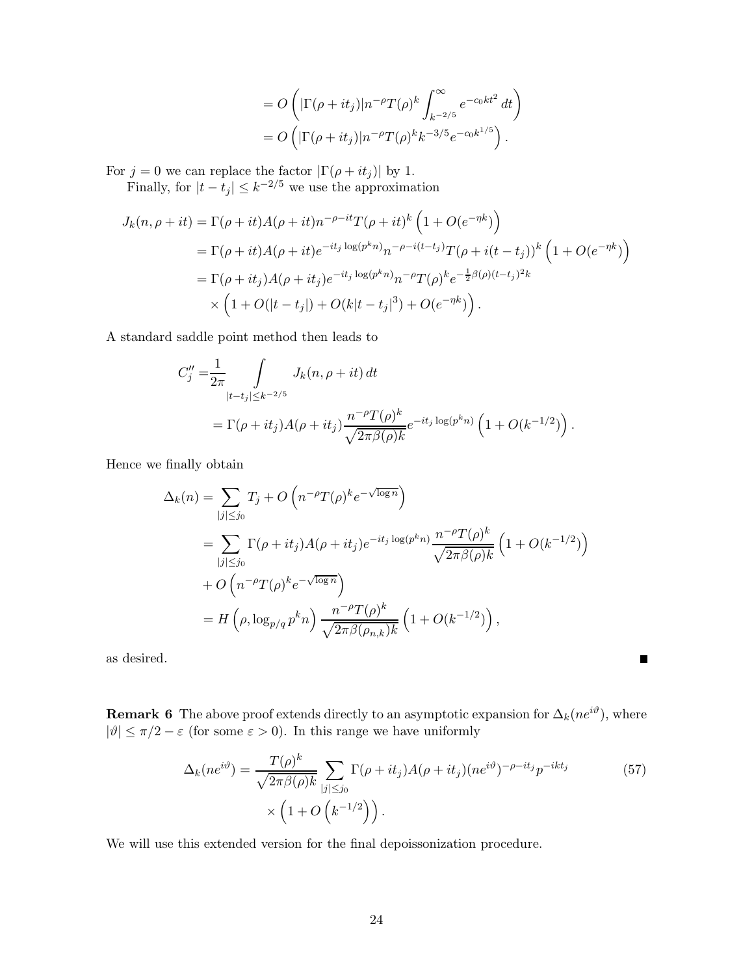$$
= O\left(|\Gamma(\rho + it_j)|n^{-\rho}T(\rho)^k \int_{k^{-2/5}}^{\infty} e^{-c_0kt^2} dt\right)
$$
  
= 
$$
O\left(|\Gamma(\rho + it_j)|n^{-\rho}T(\rho)^k k^{-3/5}e^{-c_0k^{1/5}}\right).
$$

For  $j = 0$  we can replace the factor  $|\Gamma(\rho + it_j)|$  by 1.

Finally, for  $|t - t_j| \leq k^{-2/5}$  we use the approximation

$$
J_k(n, \rho + it) = \Gamma(\rho + it)A(\rho + it)n^{-\rho - it}T(\rho + it)^k \left(1 + O(e^{-\eta k})\right)
$$
  
=  $\Gamma(\rho + it)A(\rho + it)e^{-it_j \log(p^k n)}n^{-\rho - i(t - t_j)}T(\rho + i(t - t_j))^k \left(1 + O(e^{-\eta k})\right)$   
=  $\Gamma(\rho + it_j)A(\rho + it_j)e^{-it_j \log(p^k n)}n^{-\rho}T(\rho)^k e^{-\frac{1}{2}\beta(\rho)(t - t_j)^2 k}$   
×  $\left(1 + O(|t - t_j|) + O(k|t - t_j|^3) + O(e^{-\eta k})\right).$ 

A standard saddle point method then leads to

$$
C''_j = \frac{1}{2\pi} \int_{|t-t_j| \le k^{-2/5}} J_k(n, \rho + it) dt
$$
  
=  $\Gamma(\rho + it_j) A(\rho + it_j) \frac{n^{-\rho} T(\rho)^k}{\sqrt{2\pi \beta(\rho) k}} e^{-it_j \log(p^k n)} \left(1 + O(k^{-1/2})\right).$ 

Hence we finally obtain

$$
\Delta_k(n) = \sum_{|j| \leq j_0} T_j + O\left(n^{-\rho} T(\rho)^k e^{-\sqrt{\log n}}\right)
$$
  
\n
$$
= \sum_{|j| \leq j_0} \Gamma(\rho + it_j) A(\rho + it_j) e^{-it_j \log(p^k n)} \frac{n^{-\rho} T(\rho)^k}{\sqrt{2\pi \beta(\rho)k}} \left(1 + O(k^{-1/2})\right)
$$
  
\n
$$
+ O\left(n^{-\rho} T(\rho)^k e^{-\sqrt{\log n}}\right)
$$
  
\n
$$
= H\left(\rho, \log_{p/q} p^k n\right) \frac{n^{-\rho} T(\rho)^k}{\sqrt{2\pi \beta(\rho_{n,k})k}} \left(1 + O(k^{-1/2})\right),
$$

as desired.

**Remark 6** The above proof extends directly to an asymptotic expansion for  $\Delta_k(ne^{i\vartheta})$ , where  $|\vartheta| \leq \pi/2 - \varepsilon$  (for some  $\varepsilon > 0$ ). In this range we have uniformly

$$
\Delta_k(ne^{i\vartheta}) = \frac{T(\rho)^k}{\sqrt{2\pi\beta(\rho)k}} \sum_{|j| \le j_0} \Gamma(\rho + it_j) A(\rho + it_j) (ne^{i\vartheta})^{-\rho - it_j} p^{-ikt_j}
$$
(57)  
 
$$
\times \left(1 + O\left(k^{-1/2}\right)\right).
$$

П

We will use this extended version for the final depoissonization procedure.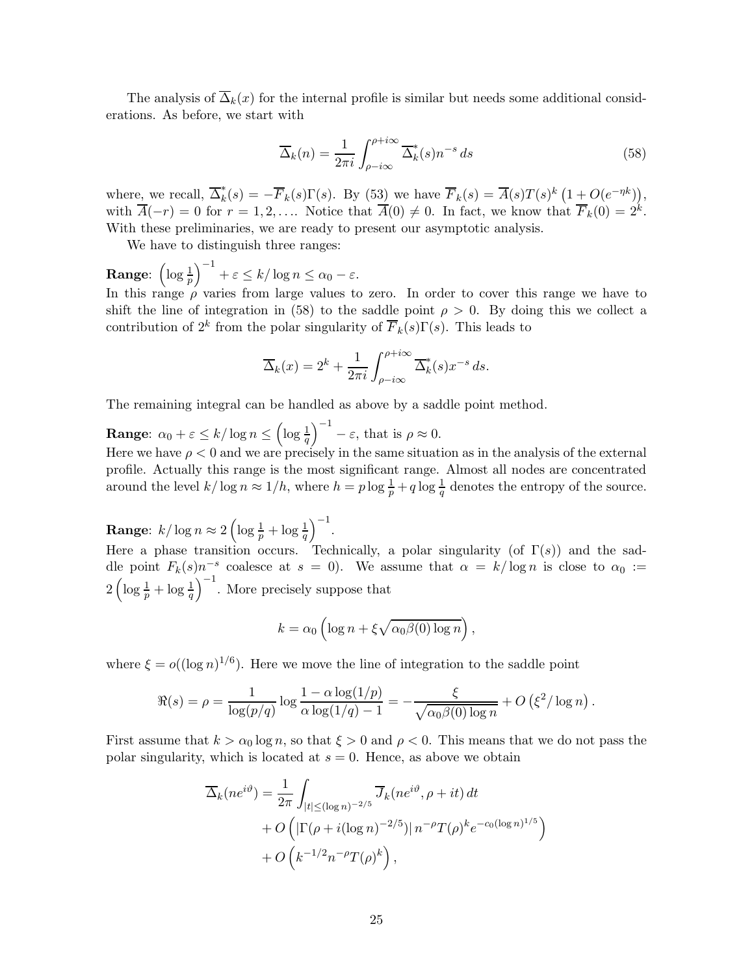The analysis of  $\overline{\Delta}_k(x)$  for the internal profile is similar but needs some additional considerations. As before, we start with

$$
\overline{\Delta}_k(n) = \frac{1}{2\pi i} \int_{\rho - i\infty}^{\rho + i\infty} \overline{\Delta}_k^*(s) n^{-s} ds \tag{58}
$$

where, we recall,  $\overline{\Delta}_k^*(s) = -\overline{F}_k(s)\Gamma(s)$ . By  $(53)$  we have  $\overline{F}_k(s) = \overline{A}(s)T(s)^k\left(1+O(e^{-\eta k})\right)$ , with  $\overline{A}(-r) = 0$  for  $r = 1, 2, ...$  Notice that  $\overline{A}(0) \neq 0$ . In fact, we know that  $\overline{F}_k(0) = 2^k$ . With these preliminaries, we are ready to present our asymptotic analysis.

We have to distinguish three ranges:

**Range:**  $\left(\log \frac{1}{p}\right)^{-1} + \varepsilon \leq k/\log n \leq \alpha_0 - \varepsilon$ . In this range  $\rho$  varies from large values to zero. In order to cover this range we have to

In this range 
$$
\rho
$$
 varies from large values to zero. In order to cover this range we have to shift the line of integration in (58) to the saddle point  $\rho > 0$ . By doing this we collect a contribution of  $2^k$  from the polar singularity of  $\overline{F}_k(s)\Gamma(s)$ . This leads to

$$
\overline{\Delta}_k(x) = 2^k + \frac{1}{2\pi i} \int_{\rho - i\infty}^{\rho + i\infty} \overline{\Delta}_k^*(s) x^{-s} ds.
$$

The remaining integral can be handled as above by a saddle point method.

**Range:**  $\alpha_0 + \varepsilon \le k/\log n \le (\log \frac{1}{q})^{-1} - \varepsilon$ , that is  $\rho \approx 0$ . Here we have  $\rho < 0$  and we are precisely in the same situation as in the analysis of the external profile. Actually this range is the most significant range. Almost all nodes are concentrated around the level  $k/\log n \approx 1/h$ , where  $h = p \log \frac{1}{p} + q \log \frac{1}{q}$  denotes the entropy of the source.

**Range:**  $k/\log n \approx 2\left(\log \frac{1}{p} + \log \frac{1}{q}\right)^{-1}$ .

Here a phase transition occurs. Technically, a polar singularity (of  $\Gamma(s)$ ) and the saddle point  $F_k(s)n^{-s}$  coalesce at  $s = 0$ ). We assume that  $\alpha = k/\log n$  is close to  $\alpha_0 :=$  $2\left(\log\frac{1}{p}+\log\frac{1}{q}\right)^{-1}$ . More precisely suppose that

$$
k = \alpha_0 \left( \log n + \xi \sqrt{\alpha_0 \beta(0) \log n} \right),
$$

where  $\xi = o((\log n)^{1/6})$ . Here we move the line of integration to the saddle point

$$
\Re(s) = \rho = \frac{1}{\log(p/q)} \log \frac{1 - \alpha \log(1/p)}{\alpha \log(1/q) - 1} = -\frac{\xi}{\sqrt{\alpha_0 \beta(0) \log n}} + O\left(\xi^2/\log n\right).
$$

First assume that  $k > \alpha_0 \log n$ , so that  $\xi > 0$  and  $\rho < 0$ . This means that we do not pass the polar singularity, which is located at  $s = 0$ . Hence, as above we obtain

$$
\overline{\Delta}_k(ne^{i\vartheta}) = \frac{1}{2\pi} \int_{|t| \leq (\log n)^{-2/5}} \overline{J}_k(ne^{i\vartheta}, \rho + it) dt
$$
  
+  $O\left(|\Gamma(\rho + i(\log n)^{-2/5})|n^{-\rho}T(\rho)^k e^{-c_0(\log n)^{1/5}}\right)$   
+  $O\left(k^{-1/2}n^{-\rho}T(\rho)^k\right),$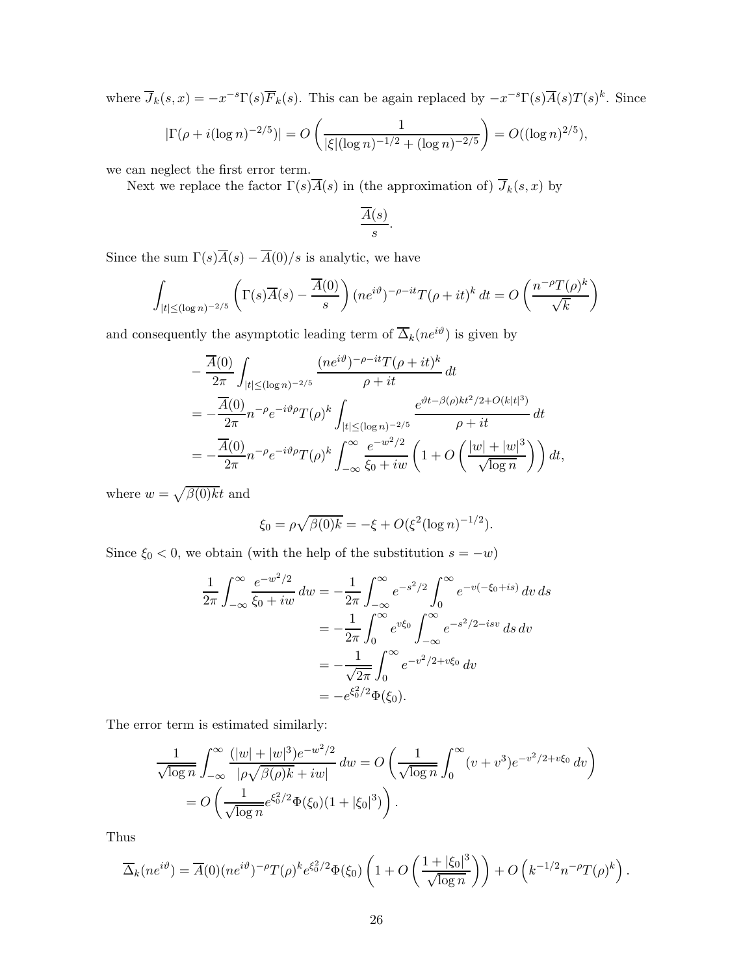where  $\overline{J}_k(s,x) = -x^{-s}\Gamma(s)\overline{F}_k(s)$ . This can be again replaced by  $-x^{-s}\Gamma(s)\overline{A}(s)T(s)^k$ . Since

$$
|\Gamma(\rho + i(\log n)^{-2/5})| = O\left(\frac{1}{|\xi|(\log n)^{-1/2} + (\log n)^{-2/5}}\right) = O((\log n)^{2/5}),
$$

we can neglect the first error term.

Next we replace the factor  $\Gamma(s)\overline{A}(s)$  in (the approximation of)  $\overline{J}_k(s, x)$  by

$$
\frac{\overline{A}(s)}{s}.
$$

Since the sum  $\Gamma(s)\overline{A}(s) - \overline{A}(0)/s$  is analytic, we have

$$
\int_{|t| \le (\log n)^{-2/5}} \left( \Gamma(s) \overline{A}(s) - \frac{\overline{A}(0)}{s} \right) (ne^{i\vartheta})^{-\rho - it} T(\rho + it)^k dt = O\left(\frac{n^{-\rho} T(\rho)^k}{\sqrt{k}}\right)
$$

and consequently the asymptotic leading term of  $\overline{\Delta}_k(ne^{i\vartheta})$  is given by

$$
-\frac{\overline{A}(0)}{2\pi} \int_{|t| \leq (\log n)^{-2/5}} \frac{(ne^{i\vartheta})^{-\rho - it} T(\rho + it)^k}{\rho + it} dt
$$
  
= 
$$
-\frac{\overline{A}(0)}{2\pi} n^{-\rho} e^{-i\vartheta \rho} T(\rho)^k \int_{|t| \leq (\log n)^{-2/5}} \frac{e^{\vartheta t - \beta(\rho)kt^2/2 + O(k|t|^3)}}{\rho + it} dt
$$
  
= 
$$
-\frac{\overline{A}(0)}{2\pi} n^{-\rho} e^{-i\vartheta \rho} T(\rho)^k \int_{-\infty}^{\infty} \frac{e^{-w^2/2}}{\xi_0 + iw} \left(1 + O\left(\frac{|w| + |w|^3}{\sqrt{\log n}}\right)\right) dt,
$$

where  $w = \sqrt{\beta(0)}\overline{k}t$  and

$$
\xi_0 = \rho \sqrt{\beta(0)k} = -\xi + O(\xi^2 (\log n)^{-1/2}).
$$

Since  $\xi_0 < 0$ , we obtain (with the help of the substitution  $s = -w$ )

$$
\frac{1}{2\pi} \int_{-\infty}^{\infty} \frac{e^{-w^2/2}}{\xi_0 + iw} dw = -\frac{1}{2\pi} \int_{-\infty}^{\infty} e^{-s^2/2} \int_{0}^{\infty} e^{-v(-\xi_0 + is)} dv ds \n= -\frac{1}{2\pi} \int_{0}^{\infty} e^{v\xi_0} \int_{-\infty}^{\infty} e^{-s^2/2 - isv} ds dv \n= -\frac{1}{\sqrt{2\pi}} \int_{0}^{\infty} e^{-v^2/2 + v\xi_0} dv \n= -e^{\xi_0^2/2} \Phi(\xi_0).
$$

The error term is estimated similarly:

$$
\frac{1}{\sqrt{\log n}} \int_{-\infty}^{\infty} \frac{(|w| + |w|^3) e^{-w^2/2}}{|\rho \sqrt{\beta(\rho)} k + iw|} dw = O\left(\frac{1}{\sqrt{\log n}} \int_{0}^{\infty} (v + v^3) e^{-v^2/2 + v\xi_0} dv\right)
$$

$$
= O\left(\frac{1}{\sqrt{\log n}} e^{\xi_0^2/2} \Phi(\xi_0) (1 + |\xi_0|^3)\right).
$$

Thus

$$
\overline{\Delta}_k(ne^{i\vartheta}) = \overline{A}(0)(ne^{i\vartheta})^{-\rho}T(\rho)^k e^{\xi_0^2/2}\Phi(\xi_0)\left(1+O\left(\frac{1+|\xi_0|^3}{\sqrt{\log n}}\right)\right) + O\left(k^{-1/2}n^{-\rho}T(\rho)^k\right).
$$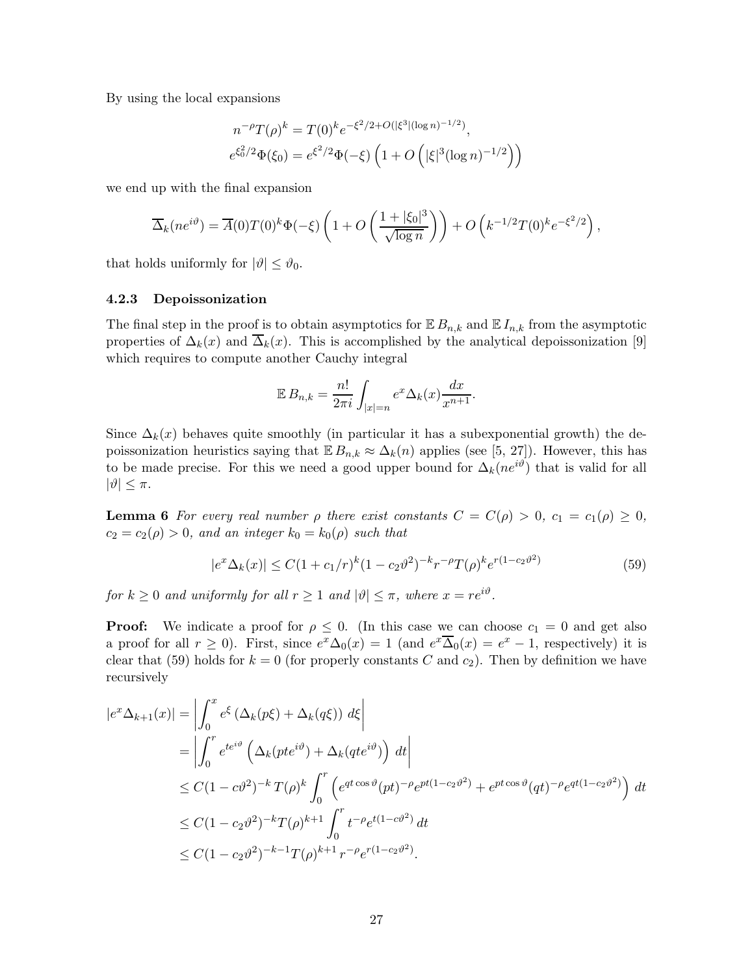By using the local expansions

$$
n^{-\rho}T(\rho)^k = T(0)^k e^{-\xi^2/2 + O(|\xi^3|(\log n)^{-1/2})},
$$
  

$$
e^{\xi_0^2/2} \Phi(\xi_0) = e^{\xi^2/2} \Phi(-\xi) \left(1 + O\left(|\xi|^3 (\log n)^{-1/2}\right)\right)
$$

we end up with the final expansion

$$
\overline{\Delta}_k(ne^{i\vartheta}) = \overline{A}(0)T(0)^k\Phi(-\xi)\left(1+O\left(\frac{1+|\xi_0|^3}{\sqrt{\log n}}\right)\right) + O\left(k^{-1/2}T(0)^ke^{-\xi^2/2}\right),
$$

that holds uniformly for  $|\vartheta| \leq \vartheta_0$ .

#### 4.2.3 Depoissonization

The final step in the proof is to obtain asymptotics for  $\mathbb{E} B_{n,k}$  and  $\mathbb{E} I_{n,k}$  from the asymptotic properties of  $\Delta_k(x)$  and  $\overline{\Delta}_k(x)$ . This is accomplished by the analytical depoissonization [9] which requires to compute another Cauchy integral

$$
\mathbb{E}\,B_{n,k} = \frac{n!}{2\pi i} \int_{|x|=n} e^x \Delta_k(x) \frac{dx}{x^{n+1}}.
$$

Since  $\Delta_k(x)$  behaves quite smoothly (in particular it has a subexponential growth) the depoissonization heuristics saying that  $\mathbb{E} B_{n,k} \approx \Delta_k(n)$  applies (see [5, 27]). However, this has to be made precise. For this we need a good upper bound for  $\Delta_k(ne^{i\vartheta})$  that is valid for all  $|\vartheta| \leq \pi$ .

**Lemma 6** For every real number  $\rho$  there exist constants  $C = C(\rho) > 0$ ,  $c_1 = c_1(\rho) \geq 0$ ,  $c_2 = c_2(\rho) > 0$ , and an integer  $k_0 = k_0(\rho)$  such that

$$
|e^x \Delta_k(x)| \le C(1 + c_1/r)^k (1 - c_2 \vartheta^2)^{-k} r^{-\rho} T(\rho)^k e^{r(1 - c_2 \vartheta^2)}
$$
(59)

for  $k \geq 0$  and uniformly for all  $r \geq 1$  and  $|\vartheta| \leq \pi$ , where  $x = re^{i\vartheta}$ .

**Proof:** We indicate a proof for  $\rho \leq 0$ . (In this case we can choose  $c_1 = 0$  and get also a proof for all  $r \ge 0$ ). First, since  $e^x \Delta_0(x) = 1$  (and  $e^x \overline{\Delta}_0(x) = e^x - 1$ , respectively) it is clear that (59) holds for  $k = 0$  (for properly constants C and  $c_2$ ). Then by definition we have recursively

$$
|e^x \Delta_{k+1}(x)| = \left| \int_0^x e^{\xi} \left( \Delta_k(p\xi) + \Delta_k(q\xi) \right) d\xi \right|
$$
  
\n
$$
= \left| \int_0^r e^{te^{i\vartheta}} \left( \Delta_k(pte^{i\vartheta}) + \Delta_k(qte^{i\vartheta}) \right) dt \right|
$$
  
\n
$$
\leq C(1 - c\vartheta^2)^{-k} T(\rho)^k \int_0^r \left( e^{qt \cos \vartheta} (pt)^{-\rho} e^{pt(1 - c_2\vartheta^2)} + e^{pt \cos \vartheta} (qt)^{-\rho} e^{qt(1 - c_2\vartheta^2)} \right) dt
$$
  
\n
$$
\leq C(1 - c_2\vartheta^2)^{-k} T(\rho)^{k+1} \int_0^r t^{-\rho} e^{t(1 - c\vartheta^2)} dt
$$
  
\n
$$
\leq C(1 - c_2\vartheta^2)^{-k-1} T(\rho)^{k+1} r^{-\rho} e^{r(1 - c_2\vartheta^2)}.
$$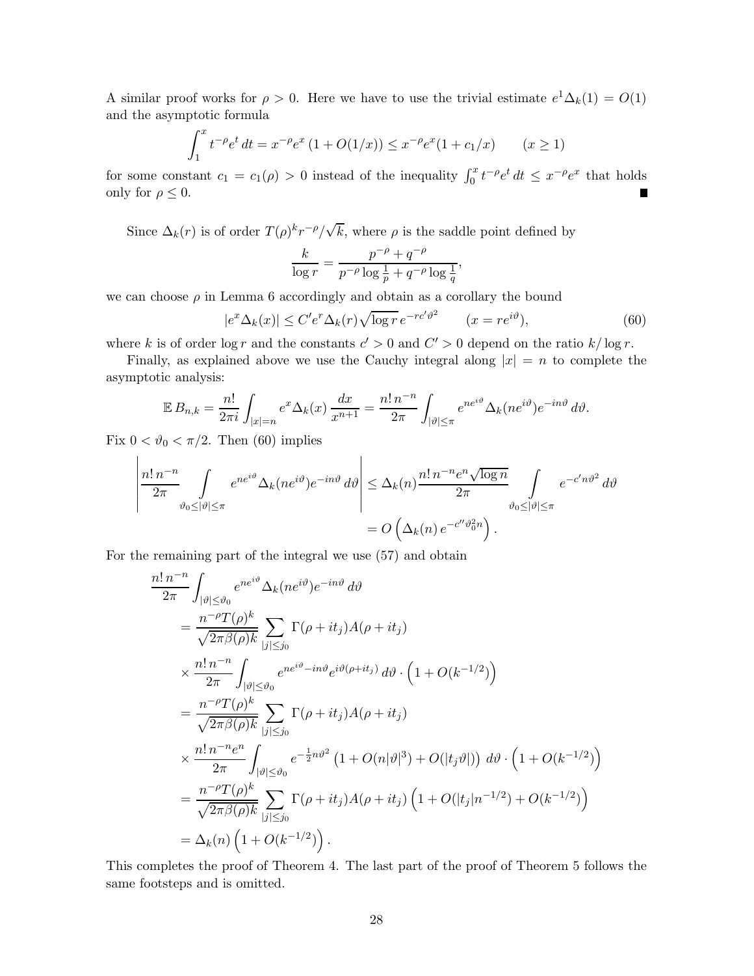A similar proof works for  $\rho > 0$ . Here we have to use the trivial estimate  $e^{1}\Delta_{k}(1) = O(1)$ and the asymptotic formula

$$
\int_{1}^{x} t^{-\rho} e^{t} dt = x^{-\rho} e^{x} (1 + O(1/x)) \leq x^{-\rho} e^{x} (1 + c_{1}/x) \qquad (x \geq 1)
$$

for some constant  $c_1 = c_1(\rho) > 0$  instead of the inequality  $\int_0^x t^{-\rho} e^t dt \leq x^{-\rho} e^x$  that holds only for  $\rho \leq 0$ .

Since  $\Delta_k(r)$  is of order  $T(\rho)^k r^{-\rho}/\sqrt{k}$ , where  $\rho$  is the saddle point defined by

$$
\frac{k}{\log r} = \frac{p^{-\rho} + q^{-\rho}}{p^{-\rho} \log \frac{1}{p} + q^{-\rho} \log \frac{1}{q}},
$$

we can choose  $\rho$  in Lemma 6 accordingly and obtain as a corollary the bound

$$
|e^x \Delta_k(x)| \le C' e^r \Delta_k(r) \sqrt{\log r} \, e^{-rc'\vartheta^2} \qquad (x = re^{i\vartheta}),\tag{60}
$$

where k is of order  $\log r$  and the constants  $c' > 0$  and  $C' > 0$  depend on the ratio  $k / \log r$ .

Finally, as explained above we use the Cauchy integral along  $|x| = n$  to complete the asymptotic analysis:

$$
\mathbb{E}\,B_{n,k} = \frac{n!}{2\pi i} \int_{|x|=n} e^x \Delta_k(x) \, \frac{dx}{x^{n+1}} = \frac{n! \, n^{-n}}{2\pi} \int_{|\vartheta| \le \pi} e^{ne^{i\vartheta}} \Delta_k(n e^{i\vartheta}) e^{-in\vartheta} \, d\vartheta.
$$

Fix  $0 < \vartheta_0 < \pi/2$ . Then (60) implies

$$
\left| \frac{n! \, n^{-n}}{2\pi} \int_{\vartheta_0 \le |\vartheta| \le \pi} e^{ne^{i\vartheta} \Delta_k(n e^{i\vartheta}) e^{-in\vartheta} d\vartheta} \right| \le \Delta_k(n) \frac{n! \, n^{-n} e^n \sqrt{\log n}}{2\pi} \int_{\vartheta_0 \le |\vartheta| \le \pi} e^{-c' n \vartheta^2} d\vartheta
$$

$$
= O\left(\Delta_k(n) \, e^{-c'' \vartheta_0^2 n}\right).
$$

For the remaining part of the integral we use (57) and obtain

$$
\frac{n! \, n^{-n}}{2\pi} \int_{|\vartheta| \leq \vartheta_0} e^{ne^{i\vartheta}} \Delta_k(ne^{i\vartheta}) e^{-in\vartheta} d\vartheta
$$
\n
$$
= \frac{n^{-\rho}T(\rho)^k}{\sqrt{2\pi\beta(\rho)k}} \sum_{|j| \leq j_0} \Gamma(\rho + it_j) A(\rho + it_j)
$$
\n
$$
\times \frac{n! \, n^{-n}}{2\pi} \int_{|\vartheta| \leq \vartheta_0} e^{ne^{i\vartheta} - in\vartheta} e^{i\vartheta(\rho + it_j)} d\vartheta \cdot (1 + O(k^{-1/2}))
$$
\n
$$
= \frac{n^{-\rho}T(\rho)^k}{\sqrt{2\pi\beta(\rho)k}} \sum_{|j| \leq j_0} \Gamma(\rho + it_j) A(\rho + it_j)
$$
\n
$$
\times \frac{n! \, n^{-n}e^n}{2\pi} \int_{|\vartheta| \leq \vartheta_0} e^{-\frac{1}{2}n\vartheta^2} (1 + O(n|\vartheta|^3) + O(|t_j\vartheta|)) d\vartheta \cdot (1 + O(k^{-1/2}))
$$
\n
$$
= \frac{n^{-\rho}T(\rho)^k}{\sqrt{2\pi\beta(\rho)k}} \sum_{|j| \leq j_0} \Gamma(\rho + it_j) A(\rho + it_j) (1 + O(|t_j|n^{-1/2}) + O(k^{-1/2}))
$$
\n
$$
= \Delta_k(n) (1 + O(k^{-1/2})).
$$

This completes the proof of Theorem 4. The last part of the proof of Theorem 5 follows the same footsteps and is omitted.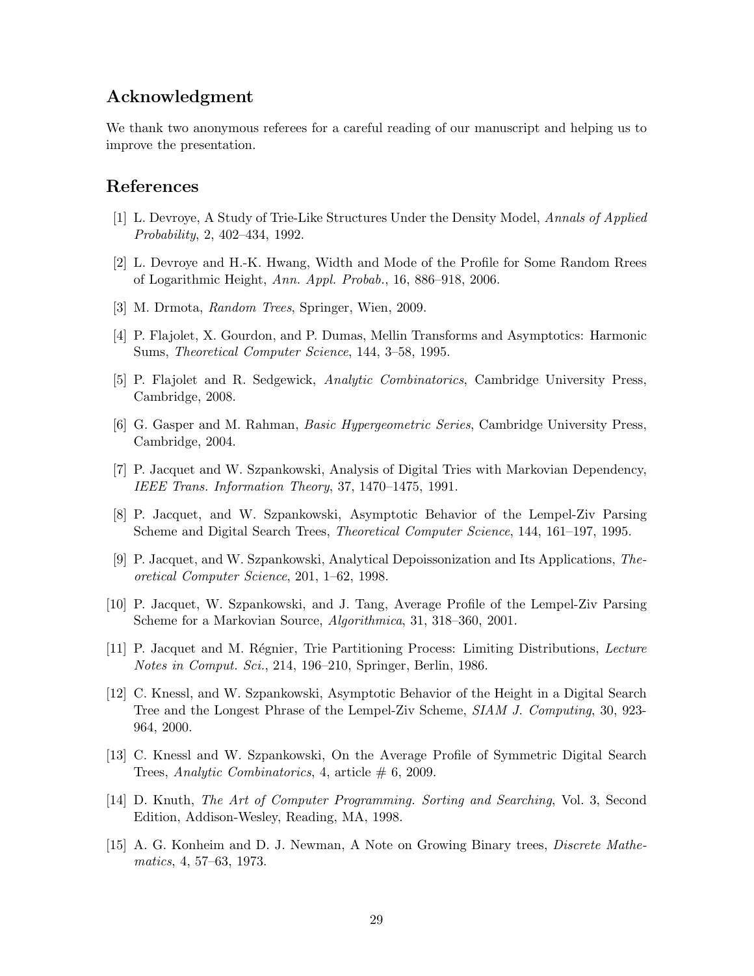# Acknowledgment

We thank two anonymous referees for a careful reading of our manuscript and helping us to improve the presentation.

### References

- [1] L. Devroye, A Study of Trie-Like Structures Under the Density Model, Annals of Applied Probability, 2, 402–434, 1992.
- [2] L. Devroye and H.-K. Hwang, Width and Mode of the Profile for Some Random Rrees of Logarithmic Height, Ann. Appl. Probab., 16, 886–918, 2006.
- [3] M. Drmota, Random Trees, Springer, Wien, 2009.
- [4] P. Flajolet, X. Gourdon, and P. Dumas, Mellin Transforms and Asymptotics: Harmonic Sums, Theoretical Computer Science, 144, 3–58, 1995.
- [5] P. Flajolet and R. Sedgewick, Analytic Combinatorics, Cambridge University Press, Cambridge, 2008.
- [6] G. Gasper and M. Rahman, Basic Hypergeometric Series, Cambridge University Press, Cambridge, 2004.
- [7] P. Jacquet and W. Szpankowski, Analysis of Digital Tries with Markovian Dependency, IEEE Trans. Information Theory, 37, 1470–1475, 1991.
- [8] P. Jacquet, and W. Szpankowski, Asymptotic Behavior of the Lempel-Ziv Parsing Scheme and Digital Search Trees, Theoretical Computer Science, 144, 161–197, 1995.
- [9] P. Jacquet, and W. Szpankowski, Analytical Depoissonization and Its Applications, Theoretical Computer Science, 201, 1–62, 1998.
- [10] P. Jacquet, W. Szpankowski, and J. Tang, Average Profile of the Lempel-Ziv Parsing Scheme for a Markovian Source, Algorithmica, 31, 318–360, 2001.
- [11] P. Jacquet and M. Régnier, Trie Partitioning Process: Limiting Distributions, Lecture Notes in Comput. Sci., 214, 196–210, Springer, Berlin, 1986.
- [12] C. Knessl, and W. Szpankowski, Asymptotic Behavior of the Height in a Digital Search Tree and the Longest Phrase of the Lempel-Ziv Scheme, SIAM J. Computing, 30, 923- 964, 2000.
- [13] C. Knessl and W. Szpankowski, On the Average Profile of Symmetric Digital Search Trees, Analytic Combinatorics, 4, article  $# 6, 2009$ .
- [14] D. Knuth, The Art of Computer Programming. Sorting and Searching, Vol. 3, Second Edition, Addison-Wesley, Reading, MA, 1998.
- [15] A. G. Konheim and D. J. Newman, A Note on Growing Binary trees, *Discrete Mathe*matics, 4, 57–63, 1973.